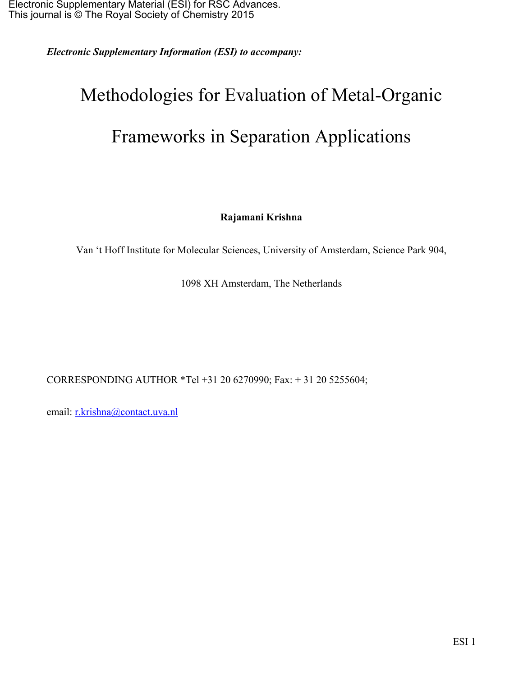*Electronic Supplementary Information (ESI) to accompany:* 

## Methodologies for Evaluation of Metal-Organic Frameworks in Separation Applications

**Rajamani Krishna** 

Van 't Hoff Institute for Molecular Sciences, University of Amsterdam, Science Park 904,

1098 XH Amsterdam, The Netherlands

CORRESPONDING AUTHOR \*Tel +31 20 6270990; Fax: + 31 20 5255604;

email: r.krishna@contact.uva.nl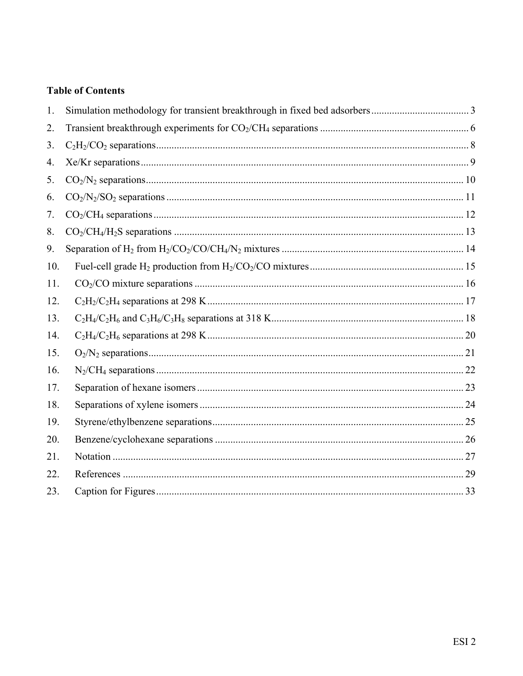#### **Table of Contents**

| 1.  |  |
|-----|--|
| 2.  |  |
| 3.  |  |
| 4.  |  |
| 5.  |  |
| 6.  |  |
| 7.  |  |
| 8.  |  |
| 9.  |  |
| 10. |  |
| 11. |  |
| 12. |  |
| 13. |  |
| 14. |  |
| 15. |  |
| 16. |  |
| 17. |  |
| 18. |  |
| 19. |  |
| 20. |  |
| 21. |  |
| 22. |  |
| 23. |  |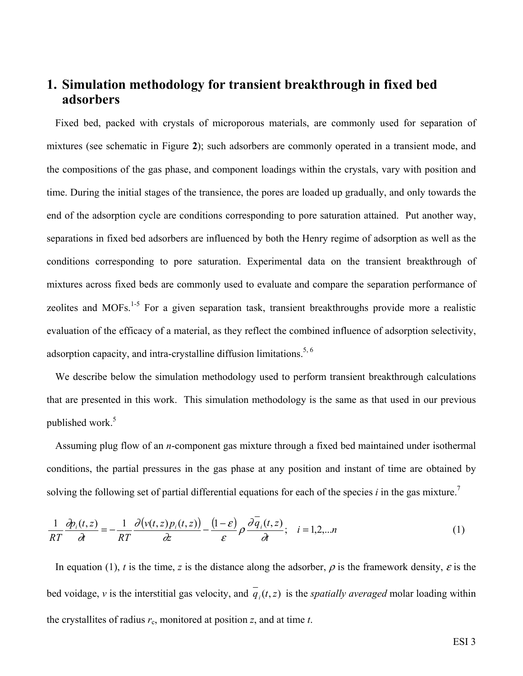#### **1. Simulation methodology for transient breakthrough in fixed bed adsorbers**

Fixed bed, packed with crystals of microporous materials, are commonly used for separation of mixtures (see schematic in Figure **2**); such adsorbers are commonly operated in a transient mode, and the compositions of the gas phase, and component loadings within the crystals, vary with position and time. During the initial stages of the transience, the pores are loaded up gradually, and only towards the end of the adsorption cycle are conditions corresponding to pore saturation attained. Put another way, separations in fixed bed adsorbers are influenced by both the Henry regime of adsorption as well as the conditions corresponding to pore saturation. Experimental data on the transient breakthrough of mixtures across fixed beds are commonly used to evaluate and compare the separation performance of zeolites and MOFs.<sup>1-5</sup> For a given separation task, transient breakthroughs provide more a realistic evaluation of the efficacy of a material, as they reflect the combined influence of adsorption selectivity, adsorption capacity, and intra-crystalline diffusion limitations.<sup>5, 6</sup>

We describe below the simulation methodology used to perform transient breakthrough calculations that are presented in this work. This simulation methodology is the same as that used in our previous published work.<sup>5</sup>

Assuming plug flow of an *n*-component gas mixture through a fixed bed maintained under isothermal conditions, the partial pressures in the gas phase at any position and instant of time are obtained by solving the following set of partial differential equations for each of the species  $i$  in the gas mixture.<sup>7</sup>

$$
\frac{1}{RT}\frac{\partial p_i(t,z)}{\partial t} = -\frac{1}{RT}\frac{\partial (v(t,z)p_i(t,z))}{\partial z} - \frac{(1-\varepsilon)}{\varepsilon}\rho\frac{\partial q_i(t,z)}{\partial t}; \quad i = 1,2,...n
$$
\n(1)

In equation (1), *t* is the time, *z* is the distance along the adsorber,  $\rho$  is the framework density,  $\varepsilon$  is the bed voidage, *v* is the interstitial gas velocity, and  $\overline{q}(t, z)$  is the *spatially averaged* molar loading within the crystallites of radius  $r_c$ , monitored at position  $z$ , and at time  $t$ .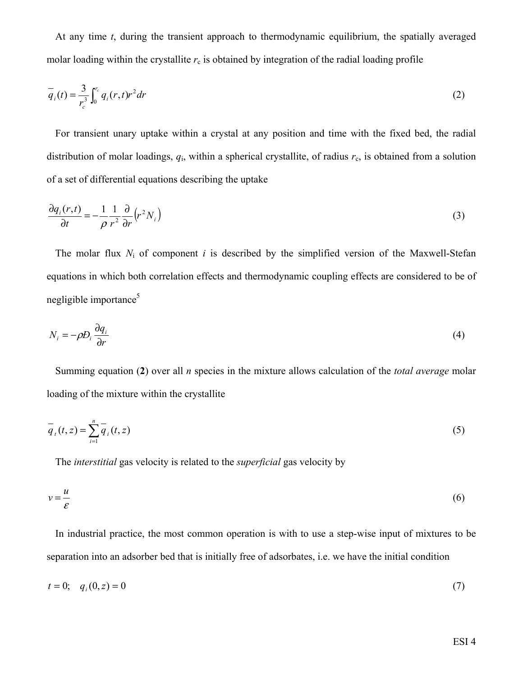At any time *t*, during the transient approach to thermodynamic equilibrium, the spatially averaged molar loading within the crystallite  $r_c$  is obtained by integration of the radial loading profile

$$
\overline{q}_i(t) = \frac{3}{r_c^3} \int_0^{r_c} q_i(r,t) r^2 dr
$$
 (2)

For transient unary uptake within a crystal at any position and time with the fixed bed, the radial distribution of molar loadings,  $q_i$ , within a spherical crystallite, of radius  $r_c$ , is obtained from a solution of a set of differential equations describing the uptake

$$
\frac{\partial q_i(r,t)}{\partial t} = -\frac{1}{\rho} \frac{1}{r^2} \frac{\partial}{\partial r} \left( r^2 N_i \right) \tag{3}
$$

The molar flux *N*i of component *i* is described by the simplified version of the Maxwell-Stefan equations in which both correlation effects and thermodynamic coupling effects are considered to be of negligible importance $5$ 

$$
N_i = -\rho D_i \frac{\partial q_i}{\partial r} \tag{4}
$$

Summing equation (**2**) over all *n* species in the mixture allows calculation of the *total average* molar loading of the mixture within the crystallite

$$
\overline{q}_i(t, z) = \sum_{i=1}^n \overline{q}_i(t, z)
$$
\n(5)

The *interstitial* gas velocity is related to the *superficial* gas velocity by

$$
v = \frac{u}{\varepsilon} \tag{6}
$$

In industrial practice, the most common operation is with to use a step-wise input of mixtures to be separation into an adsorber bed that is initially free of adsorbates, i.e. we have the initial condition

$$
t = 0; \quad q_i(0, z) = 0 \tag{7}
$$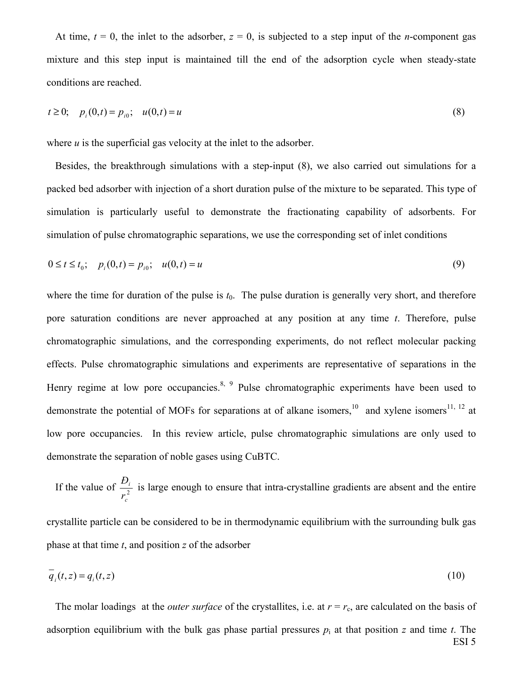At time,  $t = 0$ , the inlet to the adsorber,  $z = 0$ , is subjected to a step input of the *n*-component gas mixture and this step input is maintained till the end of the adsorption cycle when steady-state conditions are reached.

$$
t \ge 0; \quad p_i(0,t) = p_{i0}; \quad u(0,t) = u \tag{8}
$$

where *u* is the superficial gas velocity at the inlet to the adsorber.

Besides, the breakthrough simulations with a step-input (8), we also carried out simulations for a packed bed adsorber with injection of a short duration pulse of the mixture to be separated. This type of simulation is particularly useful to demonstrate the fractionating capability of adsorbents. For simulation of pulse chromatographic separations, we use the corresponding set of inlet conditions

$$
0 \le t \le t_0; \quad p_i(0, t) = p_{i0}; \quad u(0, t) = u \tag{9}
$$

where the time for duration of the pulse is  $t_0$ . The pulse duration is generally very short, and therefore pore saturation conditions are never approached at any position at any time *t*. Therefore, pulse chromatographic simulations, and the corresponding experiments, do not reflect molecular packing effects. Pulse chromatographic simulations and experiments are representative of separations in the Henry regime at low pore occupancies.<sup>8, 9</sup> Pulse chromatographic experiments have been used to demonstrate the potential of MOFs for separations at of alkane isomers,<sup>10</sup> and xylene isomers<sup>11, 12</sup> at low pore occupancies. In this review article, pulse chromatographic simulations are only used to demonstrate the separation of noble gases using CuBTC.

If the value of  $\frac{D_i}{r^2}$ *c i r Ð* is large enough to ensure that intra-crystalline gradients are absent and the entire crystallite particle can be considered to be in thermodynamic equilibrium with the surrounding bulk gas phase at that time *t*, and position *z* of the adsorber

$$
q_i(t, z) = q_i(t, z) \tag{10}
$$

ESI 5 The molar loadings at the *outer surface* of the crystallites, i.e. at  $r = r_c$ , are calculated on the basis of adsorption equilibrium with the bulk gas phase partial pressures  $p_i$  at that position  $z$  and time  $t$ . The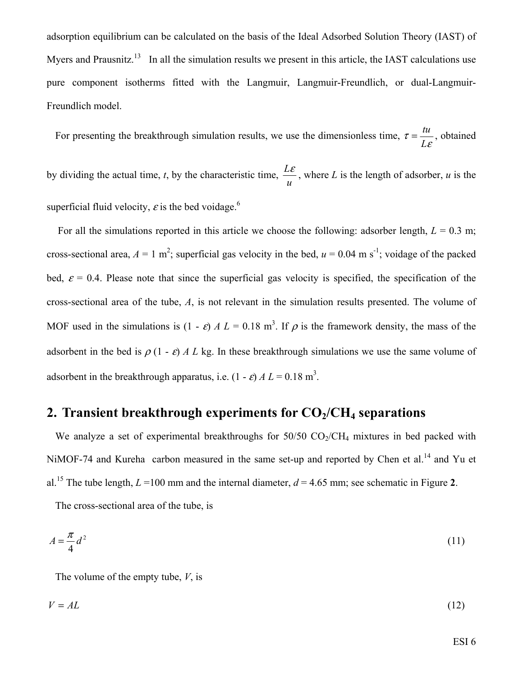adsorption equilibrium can be calculated on the basis of the Ideal Adsorbed Solution Theory (IAST) of Myers and Prausnitz.<sup>13</sup> In all the simulation results we present in this article, the IAST calculations use pure component isotherms fitted with the Langmuir, Langmuir-Freundlich, or dual-Langmuir-Freundlich model.

For presenting the breakthrough simulation results, we use the dimensionless time,  $\tau = \frac{u}{L\varepsilon}$  $\tau = \frac{U}{L}$  $=\frac{tu}{t}$ , obtained

by dividing the actual time, *t*, by the characteristic time, *u*  $\frac{L\varepsilon}{L}$ , where *L* is the length of adsorber, *u* is the superficial fluid velocity,  $\varepsilon$  is the bed voidage.<sup>6</sup>

For all the simulations reported in this article we choose the following: adsorber length,  $L = 0.3$  m; cross-sectional area,  $A = 1$  m<sup>2</sup>; superficial gas velocity in the bed,  $u = 0.04$  m s<sup>-1</sup>; voidage of the packed bed,  $\varepsilon$  = 0.4. Please note that since the superficial gas velocity is specified, the specification of the cross-sectional area of the tube, *A*, is not relevant in the simulation results presented. The volume of MOF used in the simulations is  $(1 - \varepsilon) A L = 0.18$  m<sup>3</sup>. If  $\rho$  is the framework density, the mass of the adsorbent in the bed is  $\rho$  (1 -  $\varepsilon$ ) *A L* kg. In these breakthrough simulations we use the same volume of adsorbent in the breakthrough apparatus, i.e.  $(1 - \varepsilon) A L = 0.18$  m<sup>3</sup>.

#### **2. Transient breakthrough experiments for CO<sub>2</sub>/CH<sub>4</sub> separations**

We analyze a set of experimental breakthroughs for  $50/50$  CO<sub>2</sub>/CH<sub>4</sub> mixtures in bed packed with NiMOF-74 and Kureha carbon measured in the same set-up and reported by Chen et al.<sup>14</sup> and Yu et al.<sup>15</sup> The tube length,  $L = 100$  mm and the internal diameter,  $d = 4.65$  mm; see schematic in Figure 2.

The cross-sectional area of the tube, is

$$
A = \frac{\pi}{4}d^2\tag{11}
$$

The volume of the empty tube, *V*, is

$$
V = AL \tag{12}
$$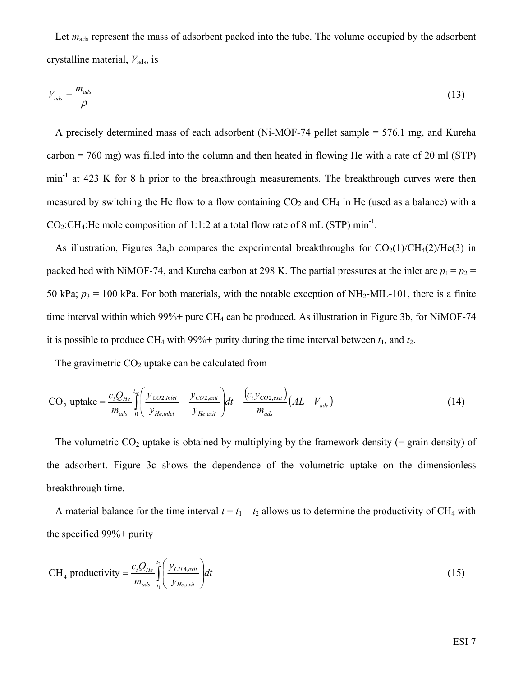Let  $m_{ads}$  represent the mass of adsorbent packed into the tube. The volume occupied by the adsorbent crystalline material,  $V_{ads}$ , is

$$
V_{ads} = \frac{m_{ads}}{\rho} \tag{13}
$$

A precisely determined mass of each adsorbent (Ni-MOF-74 pellet sample = 576.1 mg, and Kureha carbon = 760 mg) was filled into the column and then heated in flowing He with a rate of 20 ml (STP) min<sup>-1</sup> at 423 K for 8 h prior to the breakthrough measurements. The breakthrough curves were then measured by switching the He flow to a flow containing  $CO<sub>2</sub>$  and CH<sub>4</sub> in He (used as a balance) with a  $CO_2$ :CH<sub>4</sub>:He mole composition of 1:1:2 at a total flow rate of 8 mL (STP) min<sup>-1</sup>.

As illustration, Figures 3a,b compares the experimental breakthroughs for  $CO<sub>2</sub>(1)/CH<sub>4</sub>(2)/He(3)$  in packed bed with NiMOF-74, and Kureha carbon at 298 K. The partial pressures at the inlet are  $p_1 = p_2$ 50 kPa;  $p_3 = 100$  kPa. For both materials, with the notable exception of NH<sub>2</sub>-MIL-101, there is a finite time interval within which  $99\%$ + pure CH<sub>4</sub> can be produced. As illustration in Figure 3b, for NiMOF-74 it is possible to produce CH<sub>4</sub> with 99%+ purity during the time interval between  $t_1$ , and  $t_2$ .

The gravimetric  $CO<sub>2</sub>$  uptake can be calculated from

$$
CO_2 \text{ uptake} = \frac{c_t Q_{He}}{m_{ads}} \int_0^{t_s} \left( \frac{y_{CO2,inlet}}{y_{He,inlet}} - \frac{y_{CO2,exit}}{y_{He,out}} \right) dt - \frac{(c_t y_{CO2,exit})}{m_{ads}} (AL - V_{ads})
$$
(14)

The volumetric  $CO<sub>2</sub>$  uptake is obtained by multiplying by the framework density (= grain density) of the adsorbent. Figure 3c shows the dependence of the volumetric uptake on the dimensionless breakthrough time.

A material balance for the time interval  $t = t_1 - t_2$  allows us to determine the productivity of CH<sub>4</sub> with the specified 99%+ purity

$$
CH_4 \text{ productivity} = \frac{c_t Q_{He}}{m_{ads}} \int_{t_1}^{t_2} \left( \frac{y_{CH4,exit}}{y_{He,exit}} \right) dt
$$
 (15)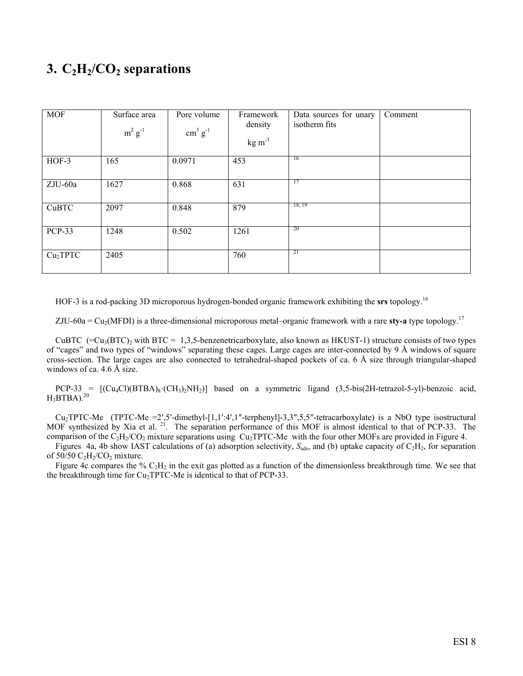### **3.**  $C_2H_2/CO_2$  separations

| <b>MOF</b>           | Surface area<br>$m^2$ $g^{-1}$ | Pore volume<br>$\text{cm}^3 \text{ g}^{-1}$ | Framework<br>density<br>$kg \, \text{m}^{-3}$ | Data sources for unary<br>isotherm fits | Comment |
|----------------------|--------------------------------|---------------------------------------------|-----------------------------------------------|-----------------------------------------|---------|
| $HOF-3$              | 165                            | 0.0971                                      | 453                                           | <sup>16</sup>                           |         |
| ZJU-60a              | 1627                           | 0.868                                       | 631                                           | 17                                      |         |
| CuBTC                | 2097                           | 0.848                                       | 879                                           | 18, 19                                  |         |
| <b>PCP-33</b>        | 1248                           | 0.502                                       | 1261                                          | 20                                      |         |
| Cu <sub>2</sub> TPTC | 2405                           |                                             | 760                                           | 21                                      |         |

HOF-3 is a rod-packing 3D microporous hydrogen-bonded organic framework exhibiting the **srs** topology.<sup>16</sup>

ZJU-60a =  $Cu_2(MFDI)$  is a three-dimensional microporous metal–organic framework with a rare **sty-a** type topology.<sup>17</sup>

CuBTC (=Cu<sub>3</sub>(BTC)<sub>2</sub> with BTC = 1,3,5-benzenetricarboxylate, also known as HKUST-1) structure consists of two types of "cages" and two types of "windows" separating these cages. Large cages are inter-connected by 9 Å windows of square cross-section. The large cages are also connected to tetrahedral-shaped pockets of ca. 6 Å size through triangular-shaped windows of ca. 4.6 Å size.

 $PCP-33 = [(\text{Cu}_4\text{Cl})(BTBA)_8\cdot(\text{CH}_3)_2\text{NH}_2)]$  based on a symmetric ligand (3,5-bis(2H-tetrazol-5-yl)-benzoic acid,  $H_3BTBA$ ).<sup>20</sup>

Cu2TPTC-Me (TPTC-Me =2′,5′-dimethyl-[1,1′:4′,1″-terphenyl]-3,3″,5,5″-tetracarboxylate) is a NbO type isostructural MOF synthesized by Xia et al. <sup>21</sup>. The separation performance of this MOF is almost identical to that of PCP-33. The comparison of the  $C_2H_2/CO_2$  mixture separations using  $Cu_2TPTC-Me$  with the four other MOFs are provided in Figure 4.

Figures 4a, 4b show IAST calculations of (a) adsorption selectivity,  $S_{ads}$ , and (b) uptake capacity of  $C_2H_2$ , for separation of  $50/50 \text{ C}_2\text{H}_2/\text{CO}_2$  mixture.

Figure 4c compares the %  $C_2H_2$  in the exit gas plotted as a function of the dimensionless breakthrough time. We see that the breakthrough time for  $Cu<sub>2</sub>TPTC$ -Me is identical to that of PCP-33.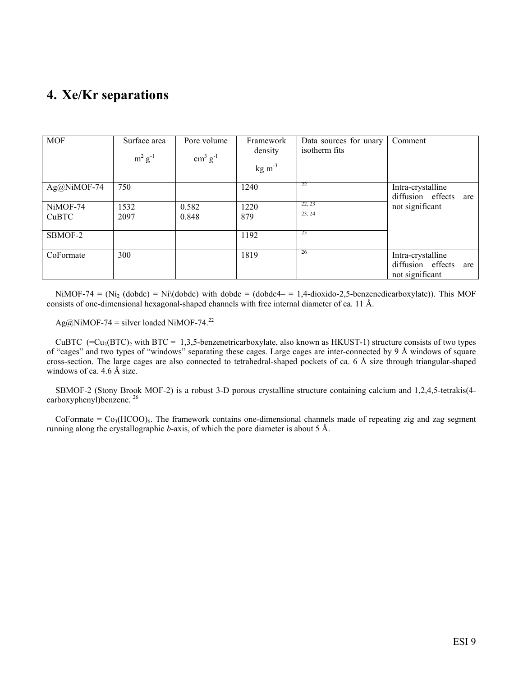### **4. Xe/Kr separations**

| <b>MOF</b>  | Surface area<br>$m^2$ $g^{-1}$ | Pore volume<br>$\text{cm}^3 \text{ g}^{-1}$ | Framework<br>density<br>$kg \, \text{m}^{-3}$ | Data sources for unary<br>isotherm fits | Comment                                                          |
|-------------|--------------------------------|---------------------------------------------|-----------------------------------------------|-----------------------------------------|------------------------------------------------------------------|
| Ag@NiMOF-74 | 750                            |                                             | 1240                                          | 22                                      | Intra-crystalline<br>diffusion effects<br>are                    |
| NiMOF-74    | 1532                           | 0.582                                       | 1220                                          | 22, 23                                  | not significant                                                  |
| CuBTC       | 2097                           | 0.848                                       | 879                                           | 23, 24                                  |                                                                  |
| SBMOF-2     |                                |                                             | 1192                                          | 25                                      |                                                                  |
| CoFormate   | 300                            |                                             | 1819                                          | 26                                      | Intra-crystalline<br>diffusion effects<br>are<br>not significant |

NiMOF-74 = (Ni<sub>2</sub> (dobdc) = Ni $\langle$ dobdc) with dobdc = (dobdc4 = 1,4-dioxido-2,5-benzenedicarboxylate)). This MOF consists of one-dimensional hexagonal-shaped channels with free internal diameter of ca. 11 Å.

Ag@NiMOF-74 = silver loaded NiMOF-74.<sup>22</sup>

CuBTC  $(=Cu<sub>3</sub>(BTC)<sub>2</sub>$  with BTC = 1,3,5-benzenetricarboxylate, also known as HKUST-1) structure consists of two types of "cages" and two types of "windows" separating these cages. Large cages are inter-connected by 9 Å windows of square cross-section. The large cages are also connected to tetrahedral-shaped pockets of ca. 6 Å size through triangular-shaped windows of ca. 4.6 Å size.

SBMOF-2 (Stony Brook MOF-2) is a robust 3-D porous crystalline structure containing calcium and 1,2,4,5-tetrakis(4 carboxyphenyl)benzene. 26

CoFormate =  $Co_3(HCOO)_6$ . The framework contains one-dimensional channels made of repeating zig and zag segment running along the crystallographic *b*-axis, of which the pore diameter is about 5 Å.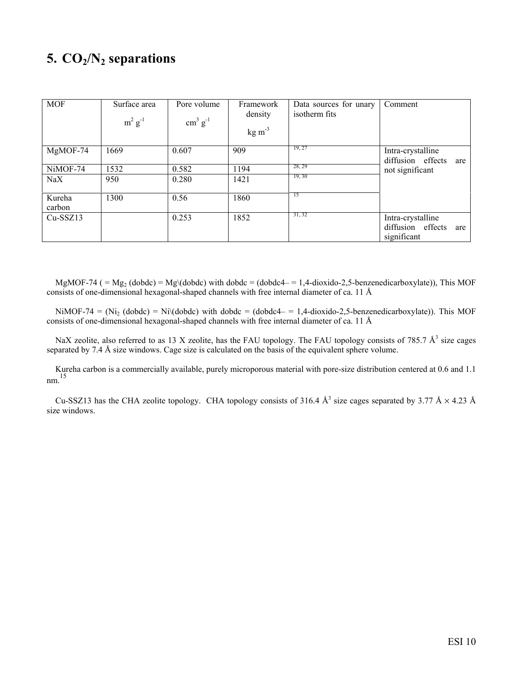## **5. CO2/N2 separations**

| <b>MOF</b>       | Surface area<br>$m^2$ $g^{-1}$ | Pore volume<br>$\text{cm}^3 \text{ g}^{-1}$ | Framework<br>density<br>$kg \, \text{m}^{-3}$ | Data sources for unary<br>isotherm fits | Comment                                                      |
|------------------|--------------------------------|---------------------------------------------|-----------------------------------------------|-----------------------------------------|--------------------------------------------------------------|
| MgMOF-74         | 1669                           | 0.607                                       | 909                                           | 19, 27                                  | Intra-crystalline<br>diffusion effects<br>are                |
| NiMOF-74         | 1532                           | 0.582                                       | 1194                                          | 28, 29                                  | not significant                                              |
| $\rm NaX$        | 950                            | 0.280                                       | 1421                                          | 19, 30                                  |                                                              |
| Kureha<br>carbon | 1300                           | 0.56                                        | 1860                                          | 15                                      |                                                              |
| $Cu-SSZ13$       |                                | 0.253                                       | 1852                                          | 31, 32                                  | Intra-crystalline<br>diffusion effects<br>are<br>significant |

MgMOF-74 ( $= Mg<sub>2</sub>$  (dobdc)  $= Mg<sub>3</sub>$  (dobdc) with dobdc  $=$  (dobdc4- $= 1,4$ -dioxido-2,5-benzenedicarboxylate)), This MOF consists of one-dimensional hexagonal-shaped channels with free internal diameter of ca. 11 Å

NiMOF-74 = (Ni<sub>2</sub> (dobdc) = Ni $\langle$ dobdc) with dobdc = (dobdc4 = 1,4-dioxido-2,5-benzenedicarboxylate)). This MOF consists of one-dimensional hexagonal-shaped channels with free internal diameter of ca. 11 Å

NaX zeolite, also referred to as 13 X zeolite, has the FAU topology. The FAU topology consists of 785.7  $\AA^3$  size cages separated by 7.4 Å size windows. Cage size is calculated on the basis of the equivalent sphere volume.

Kureha carbon is a commercially available, purely microporous material with pore-size distribution centered at 0.6 and 1.1 nm. 15

Cu-SSZ13 has the CHA zeolite topology. CHA topology consists of 316.4  $\AA^3$  size cages separated by 3.77  $\AA \times 4.23$   $\AA$ size windows.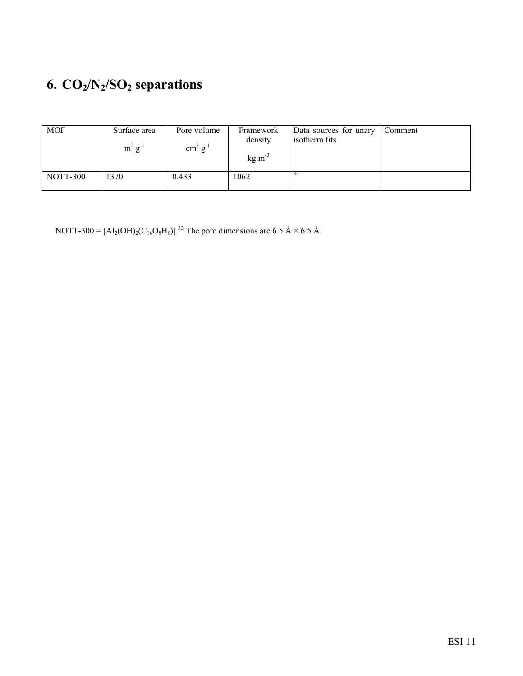## **6. CO2/N2/SO2 separations**

| <b>MOF</b> | Surface area<br>$m^2 g^{-1}$ | Pore volume<br>$\text{cm}^3 \text{ g}^{-1}$ | Framework<br>density<br>$kg \, \text{m}^{-3}$ | Data sources for unary<br>isotherm fits | Comment |
|------------|------------------------------|---------------------------------------------|-----------------------------------------------|-----------------------------------------|---------|
| NOTT-300   | 1370                         | 0.433                                       | 1062                                          | 33                                      |         |

NOTT-300 =  $[A_2(OH)_2(C_{16}O_8H_6)]^{33}$ . The pore dimensions are 6.5 Å × 6.5 Å.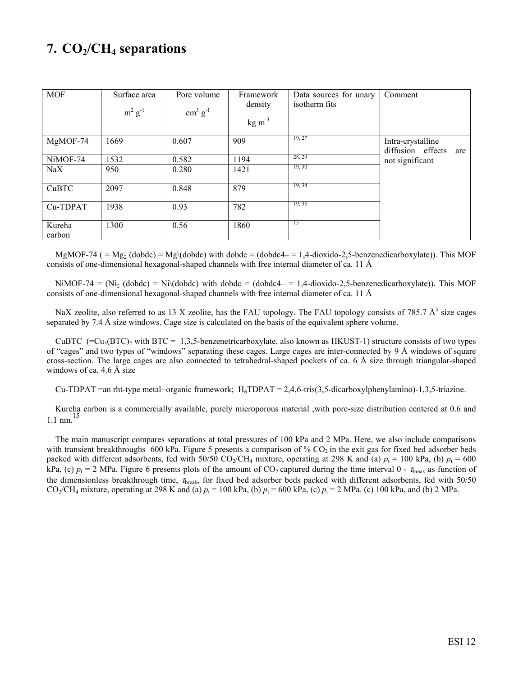## **7. CO2/CH4 separations**

| <b>MOF</b>       | Surface area<br>$m^2$ $g^{-1}$ | Pore volume<br>$\text{cm}^3 \text{ g}^{-1}$ | Framework<br>density<br>$kg \, \text{m}^{-3}$ | Data sources for unary<br>isotherm fits | Comment                                       |
|------------------|--------------------------------|---------------------------------------------|-----------------------------------------------|-----------------------------------------|-----------------------------------------------|
| $MgMOF-74$       | 1669                           | 0.607                                       | 909                                           | 19, 27                                  | Intra-crystalline<br>diffusion effects<br>are |
| NiMOF-74         | 1532                           | 0.582                                       | 1194                                          | 28, 29                                  | not significant                               |
| NaX              | 950                            | 0.280                                       | 1421                                          | 19, 30                                  |                                               |
| CuBTC            | 2097                           | 0.848                                       | 879                                           | 19, 34                                  |                                               |
| Cu-TDPAT         | 1938                           | 0.93                                        | 782                                           | 19, 35                                  |                                               |
| Kureha<br>carbon | 1300                           | 0.56                                        | 1860                                          | -15                                     |                                               |

 $MgMOF-74$  ( = Mg<sub>2</sub> (dobdc) = Mg\(dobdc) with dobdc = (dobdc4- = 1,4-dioxido-2,5-benzenedicarboxylate)). This MOF consists of one-dimensional hexagonal-shaped channels with free internal diameter of ca. 11 Å

NiMOF-74 = (Ni<sub>2</sub> (dobdc) = Ni $\langle$ dobdc) with dobdc = (dobdc4 = 1,4-dioxido-2,5-benzenedicarboxylate)). This MOF consists of one-dimensional hexagonal-shaped channels with free internal diameter of ca. 11 Å

NaX zeolite, also referred to as 13 X zeolite, has the FAU topology. The FAU topology consists of 785.7  $\AA^3$  size cages separated by 7.4 Å size windows. Cage size is calculated on the basis of the equivalent sphere volume.

CuBTC (= $Cu_3(BTC)_2$  with BTC = 1,3,5-benzenetricarboxylate, also known as HKUST-1) structure consists of two types of "cages" and two types of "windows" separating these cages. Large cages are inter-connected by 9 Å windows of square cross-section. The large cages are also connected to tetrahedral-shaped pockets of ca. 6 Å size through triangular-shaped windows of ca. 4.6 Å size

Cu-TDPAT =an rht-type metal−organic framework; H<sub>6</sub>TDPAT = 2,4,6-tris(3,5-dicarboxylphenylamino)-1,3,5-triazine.

Kureha carbon is a commercially available, purely microporous material ,with pore-size distribution centered at 0.6 and 1.1 nm $^{15}$ 

The main manuscript compares separations at total pressures of 100 kPa and 2 MPa. Here, we also include comparisons with transient breakthroughs 600 kPa. Figure 5 presents a comparison of  $\%$  CO<sub>2</sub> in the exit gas for fixed bed adsorber beds packed with different adsorbents, fed with 50/50 CO<sub>2</sub>/CH<sub>4</sub> mixture, operating at 298 K and (a)  $p_t = 100$  kPa, (b)  $p_t = 600$ kPa, (c)  $p_t = 2$  MPa. Figure 6 presents plots of the amount of CO<sub>2</sub> captured during the time interval 0 -  $\tau_{break}$  as function of the dimensionless breakthrough time,  $\tau_{break}$ , for fixed bed adsorber beds packed with different adsorbents, fed with 50/50 CO<sub>2</sub>/CH<sub>4</sub> mixture, operating at 298 K and (a)  $p_t = 100$  kPa, (b)  $p_t = 600$  kPa, (c)  $p_t = 2$  MPa. (c) 100 kPa, and (b) 2 MPa.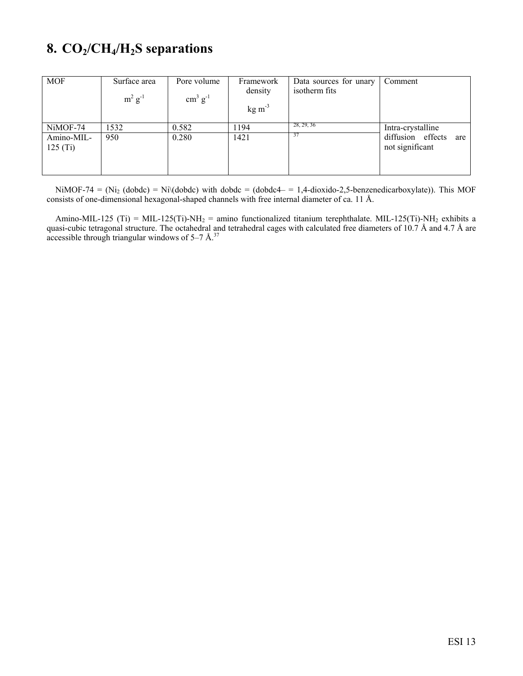## **8. CO2/CH4/H2S separations**

| <b>MOF</b>            | Surface area<br>$m^2$ g <sup>-1</sup> | Pore volume<br>$\text{cm}^3 \text{ g}^{-1}$ | Framework<br>density<br>$kg \, \text{m}^{-3}$ | Data sources for unary<br>isotherm fits | Comment                                     |
|-----------------------|---------------------------------------|---------------------------------------------|-----------------------------------------------|-----------------------------------------|---------------------------------------------|
| NiMOF-74              | 1532                                  | 0.582                                       | 1194                                          | 28, 29, 36                              | Intra-crystalline                           |
| Amino-MIL-<br>125(Ti) | 950                                   | 0.280                                       | 1421                                          | 37                                      | diffusion effects<br>are<br>not significant |

NiMOF-74 = (Ni<sub>2</sub> (dobdc) = Ni $\cdot$ (dobdc) with dobdc = (dobdc4 – = 1,4-dioxido-2,5-benzenedicarboxylate)). This MOF consists of one-dimensional hexagonal-shaped channels with free internal diameter of ca. 11 Å.

Amino-MIL-125 (Ti) = MIL-125(Ti)-NH<sub>2</sub> = amino functionalized titanium terephthalate. MIL-125(Ti)-NH<sub>2</sub> exhibits a quasi-cubic tetragonal structure. The octahedral and tetrahedral cages with calculated free diameters of 10.7 Å and 4.7 Å are accessible through triangular windows of  $5-7$  Å.<sup>37</sup>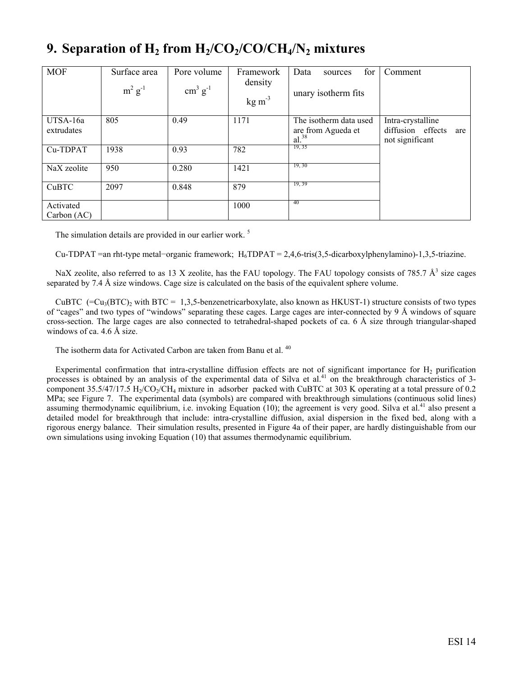### **9.** Separation of  $H_2$  from  $H_2/CO_2/CO/CH_4/N_2$  mixtures

| <b>MOF</b>               | Surface area<br>$m^2$ $g^{-1}$ | Pore volume<br>$\text{cm}^3 \text{ g}^{-1}$ | Framework<br>density<br>$kg \, \text{m}^{-3}$ | for<br>Data<br>sources<br>unary isotherm fits              | Comment                                                          |
|--------------------------|--------------------------------|---------------------------------------------|-----------------------------------------------|------------------------------------------------------------|------------------------------------------------------------------|
| UTSA-16a<br>extrudates   | 805                            | 0.49                                        | 1171                                          | The isotherm data used<br>are from Agueda et<br>$al.^{38}$ | Intra-crystalline<br>diffusion effects<br>are<br>not significant |
| Cu-TDPAT                 | 1938                           | 0.93                                        | 782                                           | 19, 35                                                     |                                                                  |
| NaX zeolite              | 950                            | 0.280                                       | 1421                                          | 19, 30                                                     |                                                                  |
| CuBTC                    | 2097                           | 0.848                                       | 879                                           | 19, 39                                                     |                                                                  |
| Activated<br>Carbon (AC) |                                |                                             | 1000                                          | 40                                                         |                                                                  |

The simulation details are provided in our earlier work.<sup>5</sup>

Cu-TDPAT =an rht-type metal−organic framework; H<sub>6</sub>TDPAT = 2,4,6-tris(3,5-dicarboxylphenylamino)-1,3,5-triazine.

NaX zeolite, also referred to as 13 X zeolite, has the FAU topology. The FAU topology consists of 785.7  $\AA^3$  size cages separated by 7.4 Å size windows. Cage size is calculated on the basis of the equivalent sphere volume.

CuBTC (= $Cu_3(BTC)_2$  with BTC = 1,3,5-benzenetricarboxylate, also known as HKUST-1) structure consists of two types of "cages" and two types of "windows" separating these cages. Large cages are inter-connected by 9 Å windows of square cross-section. The large cages are also connected to tetrahedral-shaped pockets of ca. 6 Å size through triangular-shaped windows of ca. 4.6 Å size.

The isotherm data for Activated Carbon are taken from Banu et al.<sup>40</sup>

Experimental confirmation that intra-crystalline diffusion effects are not of significant importance for  $H_2$  purification processes is obtained by an analysis of the experimental data of Silva et al.<sup>41</sup> on the breakthrough characteristics of 3component 35.5/47/17.5 H<sub>2</sub>/CO<sub>2</sub>/CH<sub>4</sub> mixture in adsorber packed with CuBTC at 303 K operating at a total pressure of 0.2 MPa; see Figure 7. The experimental data (symbols) are compared with breakthrough simulations (continuous solid lines) assuming thermodynamic equilibrium, i.e. invoking Equation (10); the agreement is very good. Silva et al.<sup>41</sup> also present a detailed model for breakthrough that include: intra-crystalline diffusion, axial dispersion in the fixed bed, along with a rigorous energy balance. Their simulation results, presented in Figure 4a of their paper, are hardly distinguishable from our own simulations using invoking Equation (10) that assumes thermodynamic equilibrium.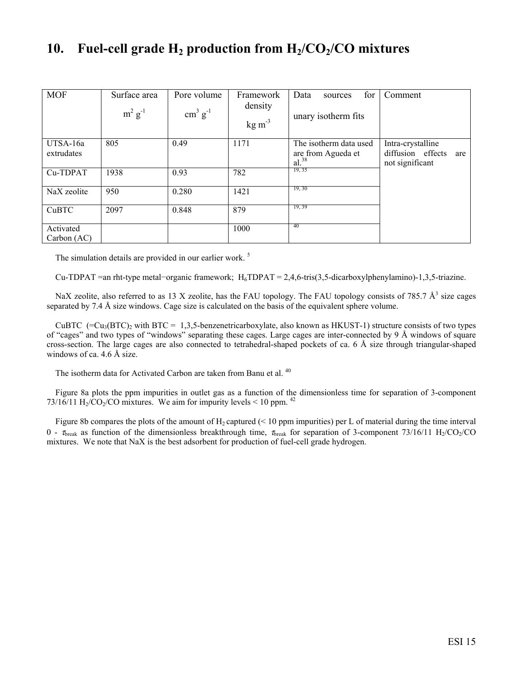### 10. Fuel-cell grade H<sub>2</sub> production from H<sub>2</sub>/CO<sub>2</sub>/CO mixtures

| <b>MOF</b>               | Surface area<br>$m^2$ $g^{-1}$ | Pore volume<br>$\text{cm}^3 \text{ g}^{-1}$ | Framework<br>density<br>$kg \, \text{m}^{-3}$ | for<br>Data<br>sources<br>unary isotherm fits              | Comment                                                          |
|--------------------------|--------------------------------|---------------------------------------------|-----------------------------------------------|------------------------------------------------------------|------------------------------------------------------------------|
| UTSA-16a<br>extrudates   | 805                            | 0.49                                        | 1171                                          | The isotherm data used<br>are from Agueda et<br>$al.^{38}$ | Intra-crystalline<br>diffusion effects<br>are<br>not significant |
| Cu-TDPAT                 | 1938                           | 0.93                                        | 782                                           | 19, 35                                                     |                                                                  |
| NaX zeolite              | 950                            | 0.280                                       | 1421                                          | 19, 30                                                     |                                                                  |
| CuBTC                    | 2097                           | 0.848                                       | 879                                           | 19, 39                                                     |                                                                  |
| Activated<br>Carbon (AC) |                                |                                             | 1000                                          | 40                                                         |                                                                  |

The simulation details are provided in our earlier work.<sup>5</sup>

Cu-TDPAT =an rht-type metal−organic framework; H<sub>6</sub>TDPAT = 2,4,6-tris(3,5-dicarboxylphenylamino)-1,3,5-triazine.

NaX zeolite, also referred to as 13 X zeolite, has the FAU topology. The FAU topology consists of 785.7  $\AA^3$  size cages separated by 7.4 Å size windows. Cage size is calculated on the basis of the equivalent sphere volume.

CuBTC (= $Cu_3(BTC)_2$  with BTC = 1,3,5-benzenetricarboxylate, also known as HKUST-1) structure consists of two types of "cages" and two types of "windows" separating these cages. Large cages are inter-connected by 9 Å windows of square cross-section. The large cages are also connected to tetrahedral-shaped pockets of ca. 6 Å size through triangular-shaped windows of ca. 4.6 Å size.

The isotherm data for Activated Carbon are taken from Banu et al.<sup>40</sup>

Figure 8a plots the ppm impurities in outlet gas as a function of the dimensionless time for separation of 3-component 73/16/11 H<sub>2</sub>/CO<sub>2</sub>/CO mixtures. We aim for impurity levels < 10 ppm. <sup>42</sup>

Figure 8b compares the plots of the amount of  $H_2$  captured (< 10 ppm impurities) per L of material during the time interval 0 -  $\tau_{break}$  as function of the dimensionless breakthrough time,  $\tau_{break}$  for separation of 3-component 73/16/11 H<sub>2</sub>/CO<sub>2</sub>/CO mixtures. We note that NaX is the best adsorbent for production of fuel-cell grade hydrogen.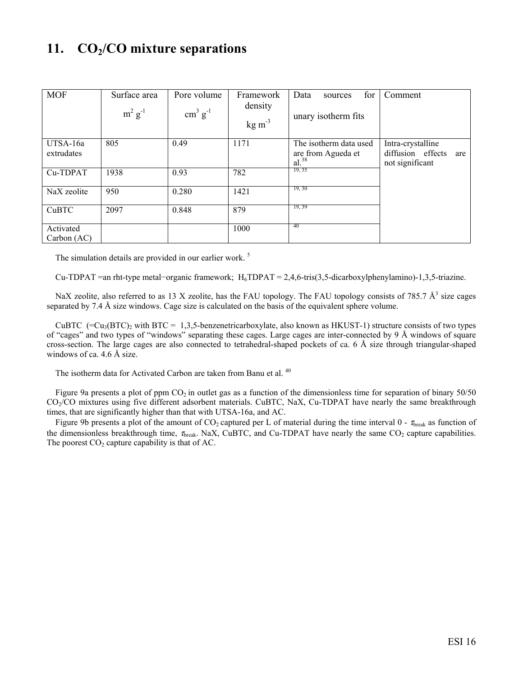### 11. **CO<sub>2</sub>/CO mixture separations**

| <b>MOF</b>               | Surface area<br>$m^2 g^{-1}$ | Pore volume<br>$\text{cm}^3 \text{ g}^{-1}$ | Framework<br>density<br>$kg \, \text{m}^{-3}$ | for<br>Data<br>sources<br>unary isotherm fits              | Comment                                                          |
|--------------------------|------------------------------|---------------------------------------------|-----------------------------------------------|------------------------------------------------------------|------------------------------------------------------------------|
| UTSA-16a<br>extrudates   | 805                          | 0.49                                        | 1171                                          | The isotherm data used<br>are from Agueda et<br>$al.^{38}$ | Intra-crystalline<br>diffusion effects<br>are<br>not significant |
| Cu-TDPAT                 | 1938                         | 0.93                                        | 782                                           | 19, 35                                                     |                                                                  |
| NaX zeolite              | 950                          | 0.280                                       | 1421                                          | 19, 30                                                     |                                                                  |
| CuBTC                    | 2097                         | 0.848                                       | 879                                           | 19, 39                                                     |                                                                  |
| Activated<br>Carbon (AC) |                              |                                             | 1000                                          | 40                                                         |                                                                  |

The simulation details are provided in our earlier work.<sup>5</sup>

Cu-TDPAT =an rht-type metal−organic framework; H<sub>6</sub>TDPAT = 2,4,6-tris(3,5-dicarboxylphenylamino)-1,3,5-triazine.

NaX zeolite, also referred to as 13 X zeolite, has the FAU topology. The FAU topology consists of 785.7  $\AA^3$  size cages separated by 7.4 Å size windows. Cage size is calculated on the basis of the equivalent sphere volume.

CuBTC  $(=Cu<sub>3</sub>(BTC)<sub>2</sub>$  with BTC = 1,3,5-benzenetricarboxylate, also known as HKUST-1) structure consists of two types of "cages" and two types of "windows" separating these cages. Large cages are inter-connected by 9 Å windows of square cross-section. The large cages are also connected to tetrahedral-shaped pockets of ca. 6 Å size through triangular-shaped windows of ca. 4.6 Å size.

The isotherm data for Activated Carbon are taken from Banu et al.<sup>40</sup>

Figure 9a presents a plot of ppm  $CO_2$  in outlet gas as a function of the dimensionless time for separation of binary  $50/50$ CO2/CO mixtures using five different adsorbent materials. CuBTC, NaX, Cu-TDPAT have nearly the same breakthrough times, that are significantly higher than that with UTSA-16a, and AC.

Figure 9b presents a plot of the amount of  $CO_2$  captured per L of material during the time interval 0 -  $\tau_{break}$  as function of the dimensionless breakthrough time,  $\tau_{break}$ . NaX, CuBTC, and Cu-TDPAT have nearly the same CO<sub>2</sub> capture capabilities. The poorest  $CO<sub>2</sub>$  capture capability is that of AC.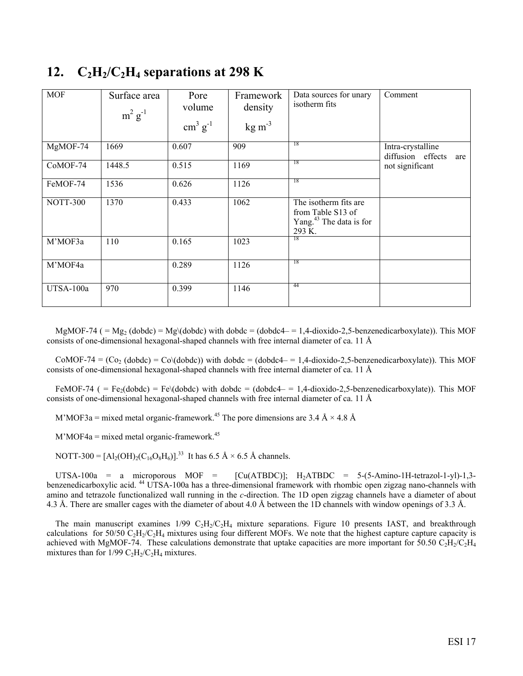| <b>MOF</b>      | Surface area<br>$m^2$ $g^{-1}$ | Pore<br>volume<br>$\text{cm}^3 \text{ g}^{-1}$ | Framework<br>density<br>$\text{kg m}^{-3}$ | Data sources for unary<br>isotherm fits                                                     | Comment                                       |
|-----------------|--------------------------------|------------------------------------------------|--------------------------------------------|---------------------------------------------------------------------------------------------|-----------------------------------------------|
| MgMOF-74        | 1669                           | 0.607                                          | 909                                        | -18                                                                                         | Intra-crystalline<br>diffusion effects<br>are |
| $CoMOF-74$      | 1448.5                         | 0.515                                          | 1169                                       | 18                                                                                          | not significant                               |
| FeMOF-74        | 1536                           | 0.626                                          | 1126                                       | 18                                                                                          |                                               |
| <b>NOTT-300</b> | 1370                           | 0.433                                          | 1062                                       | The isotherm fits are<br>from Table S13 of<br>Yang. <sup>43</sup> The data is for<br>293 K. |                                               |
| M'MOF3a         | 110                            | 0.165                                          | 1023                                       | -18                                                                                         |                                               |
| M'MOF4a         |                                | 0.289                                          | 1126                                       | -18                                                                                         |                                               |
| UTSA-100a       | 970                            | 0.399                                          | 1146                                       | 44                                                                                          |                                               |

### 12.  $C_2H_2/C_2H_4$  separations at 298 K

MgMOF-74 ( $= Mg_2$  (dobdc)  $= Mg$  (dobdc) with dobdc  $= (dobdc4 - 1, 4-dioxido-2, 5-benzenedicarboxylate)$ ). This MOF consists of one-dimensional hexagonal-shaped channels with free internal diameter of ca. 11 Å

 $COMOF-74 = (Co<sub>2</sub> (dobdc) = Co\ddot{o}(dobdc))$  with dobdc = (dobdc4- = 1,4-dioxido-2,5-benzenedicarboxylate)). This MOF consists of one-dimensional hexagonal-shaped channels with free internal diameter of ca. 11 Å

FeMOF-74 ( = Fe<sub>2</sub>(dobdc) = Fe\(dobdc) with dobdc = (dobdc4- = 1,4-dioxido-2,5-benzenedicarboxylate)). This MOF consists of one-dimensional hexagonal-shaped channels with free internal diameter of ca. 11 Å

M'MOF3a = mixed metal organic-framework.<sup>45</sup> The pore dimensions are 3.4 Å  $\times$  4.8 Å

 $M'MOF4a = mixed metal organic-framework.<sup>45</sup>$ 

NOTT-300 =  $[A_2(OH)_2(C_{16}O_8H_6)]^{33}$  It has 6.5 Å  $\times$  6.5 Å channels.

UTSA-100a = a microporous MOF =  $[Cu(ATBDC)]$ ; H<sub>2</sub>ATBDC = 5-(5-Amino-1H-tetrazol-1-yl)-1,3benzenedicarboxylic acid. 44 UTSA-100a has a three-dimensional framework with rhombic open zigzag nano-channels with amino and tetrazole functionalized wall running in the *c*-direction. The 1D open zigzag channels have a diameter of about 4.3 Å. There are smaller cages with the diameter of about 4.0 Å between the 1D channels with window openings of 3.3 Å.

The main manuscript examines  $1/99 \text{ C}_2\text{H}_2/\text{C}_2\text{H}_4$  mixture separations. Figure 10 presents IAST, and breakthrough calculations for 50/50  $C_2H_2/C_2H_4$  mixtures using four different MOFs. We note that the highest capture capture capacity is achieved with MgMOF-74. These calculations demonstrate that uptake capacities are more important for 50.50 C<sub>2</sub>H<sub>2</sub>/C<sub>2</sub>H<sub>4</sub> mixtures than for  $1/99 \text{ C}_2\text{H}_2/\text{C}_2\text{H}_4$  mixtures.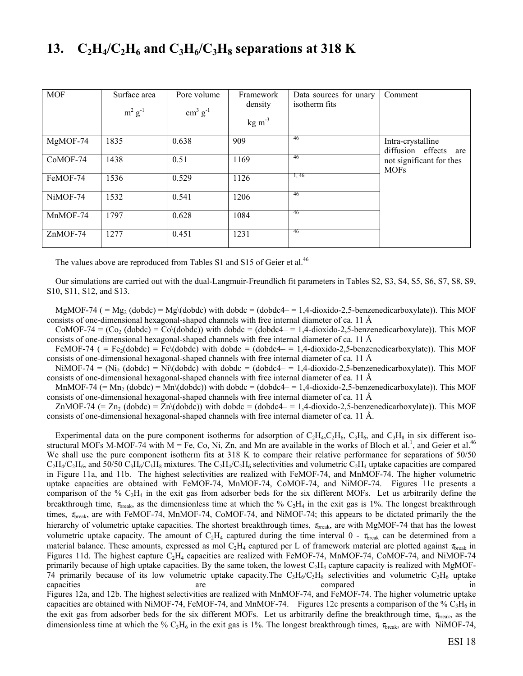### **13.**  $C_2H_4/C_2H_6$  and  $C_3H_6/C_3H_8$  separations at 318 K

| <b>MOF</b> | Surface area<br>$m^2$ $g^{-1}$ | Pore volume<br>$\text{cm}^3 \text{ g}^{-1}$ | Framework<br>density<br>$kg \, \text{m}^{-3}$ | Data sources for unary<br>isotherm fits | Comment                                    |
|------------|--------------------------------|---------------------------------------------|-----------------------------------------------|-----------------------------------------|--------------------------------------------|
| MgMOF-74   | 1835                           | 0.638                                       | 909                                           | 46                                      | Intra-crystalline<br>diffusion effects are |
| CoMOF-74   | 1438                           | 0.51                                        | 1169                                          | 46                                      | not significant for thes<br><b>MOFs</b>    |
| FeMOF-74   | 1536                           | 0.529                                       | 1126                                          | 1,46                                    |                                            |
| NiMOF-74   | 1532                           | 0.541                                       | 1206                                          | -46                                     |                                            |
| MnMOF-74   | 1797                           | 0.628                                       | 1084                                          | 46                                      |                                            |
| ZnMOF-74   | 1277                           | 0.451                                       | 1231                                          | 46                                      |                                            |

The values above are reproduced from Tables S1 and S15 of Geier et al.<sup>46</sup>

Our simulations are carried out with the dual-Langmuir-Freundlich fit parameters in Tables S2, S3, S4, S5, S6, S7, S8, S9, S10, S11, S12, and S13.

MgMOF-74 ( =  $Mg_2$  (dobdc) =  $Mg\ddot{\text{d}}$  (dobdc) with dobdc = (dobdc4 = 1,4-dioxido-2,5-benzenedicarboxylate)). This MOF consists of one-dimensional hexagonal-shaped channels with free internal diameter of ca. 11 Å

 $COMOF-74 = (Co<sub>2</sub> (dobdc) = Co<sub>2</sub> (dobdc))$  with  $dobdc = (dobdc4 – = 1.4-dioxido-2.5-benzenedicarboxulate))$ . This MOF consists of one-dimensional hexagonal-shaped channels with free internal diameter of ca. 11 Å

FeMOF-74 ( = Fe<sub>2</sub>(dobdc) = Fe\(dobdc) with dobdc = (dobdc4- = 1,4-dioxido-2,5-benzenedicarboxylate)). This MOF consists of one-dimensional hexagonal-shaped channels with free internal diameter of ca. 11 Å

NiMOF-74 = (Ni<sub>2</sub> (dobdc) = Ni\(dobdc) with dobdc = (dobdc4 – = 1,4-dioxido-2,5-benzenedicarboxylate)). This MOF consists of one-dimensional hexagonal-shaped channels with free internal diameter of ca. 11 Å

MnMOF-74 (= Mn<sub>2</sub> (dobdc) = Mn\(dobdc)) with dobdc = (dobdc4- = 1,4-dioxido-2,5-benzenedicarboxylate)). This MOF consists of one-dimensional hexagonal-shaped channels with free internal diameter of ca. 11 Å

 $ZnMOF-74 (= Zn<sub>2</sub> (dobdc) = Zn/(dobdc))$  with dobdc = (dobdc4- = 1,4-dioxido-2,5-benzenedicarboxylate)). This MOF consists of one-dimensional hexagonal-shaped channels with free internal diameter of ca. 11 Å.

Experimental data on the pure component isotherms for adsorption of  $C_2H_4$ ,  $C_2H_6$ ,  $C_3H_6$ , and  $C_3H_8$  in six different isostructural MOFs M-MOF-74 with  $M = Fe$ , Co, Ni, Zn, and Mn are available in the works of Bloch et al.<sup>1</sup>, and Geier et al.<sup>46</sup> We shall use the pure component isotherm fits at 318 K to compare their relative performance for separations of  $50/50$  $C_2H_4/C_2H_6$ , and 50/50  $C_3H_6/C_3H_8$  mixtures. The  $C_2H_4/C_2H_6$  selectivities and volumetric  $C_2H_4$  uptake capacities are compared in Figure 11a, and 11b. The highest selectivities are realized with FeMOF-74, and MnMOF-74. The higher volumetric uptake capacities are obtained with FeMOF-74, MnMOF-74, CoMOF-74, and NiMOF-74. Figures 11c presents a comparison of the %  $C_2H_4$  in the exit gas from adsorber beds for the six different MOFs. Let us arbitrarily define the breakthrough time,  $\tau_{break}$ , as the dimensionless time at which the %  $C_2H_4$  in the exit gas is 1%. The longest breakthrough times, τ<sub>break</sub>, are with FeMOF-74, MnMOF-74, CoMOF-74, and NiMOF-74; this appears to be dictated primarily the the hierarchy of volumetric uptake capacities. The shortest breakthrough times,  $\tau_{break}$  are with MgMOF-74 that has the lowest volumetric uptake capacity. The amount of  $C_2H_4$  captured during the time interval 0 -  $\tau_{break}$  can be determined from a material balance. These amounts, expressed as mol  $C_2H_4$  captured per L of framework material are plotted against  $\tau_{break}$  in Figures 11d. The highest capture  $C_2H_4$  capacities are realized with FeMOF-74, MnMOF-74, CoMOF-74, and NiMOF-74 primarily because of high uptake capacities. By the same token, the lowest  $C_2H_4$  capture capacity is realized with MgMOF-74 primarily because of its low volumetric uptake capacity. The  $C_3H_6/C_3H_8$  selectivities and volumetric  $C_3H_6$  uptake capacities are are compared in the compared in the compared in  $\alpha$ Figures 12a, and 12b. The highest selectivities are realized with MnMOF-74, and FeMOF-74. The higher volumetric uptake capacities are obtained with NiMOF-74, FeMOF-74, and MnMOF-74. Figures 12c presents a comparison of the %  $C_3H_6$  in the exit gas from adsorber beds for the six different MOFs. Let us arbitrarily define the breakthrough time,  $\tau_{break}$ , as the dimensionless time at which the %  $C_3H_6$  in the exit gas is 1%. The longest breakthrough times,  $\tau_{break}$ , are with NiMOF-74,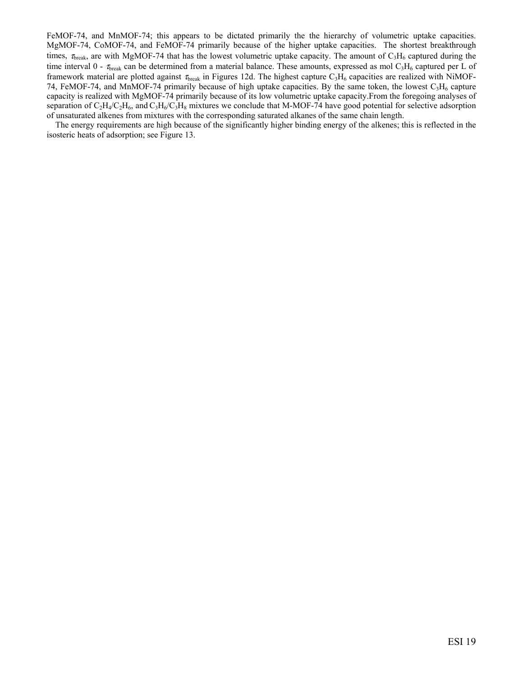FeMOF-74, and MnMOF-74; this appears to be dictated primarily the the hierarchy of volumetric uptake capacities. MgMOF-74, CoMOF-74, and FeMOF-74 primarily because of the higher uptake capacities. The shortest breakthrough times,  $\tau_{break}$ , are with MgMOF-74 that has the lowest volumetric uptake capacity. The amount of  $C_3H_6$  captured during the time interval 0 -  $\tau_{break}$  can be determined from a material balance. These amounts, expressed as mol C<sub>3</sub>H<sub>6</sub> captured per L of framework material are plotted against  $\tau_{break}$  in Figures 12d. The highest capture  $C_3H_6$  capacities are realized with NiMOF-74, FeMOF-74, and MnMOF-74 primarily because of high uptake capacities. By the same token, the lowest  $C_3H_6$  capture capacity is realized with MgMOF-74 primarily because of its low volumetric uptake capacity.From the foregoing analyses of separation of  $C_2H_4/C_2H_6$ , and  $C_3H_6/C_3H_8$  mixtures we conclude that M-MOF-74 have good potential for selective adsorption of unsaturated alkenes from mixtures with the corresponding saturated alkanes of the same chain length.

The energy requirements are high because of the significantly higher binding energy of the alkenes; this is reflected in the isosteric heats of adsorption; see Figure 13.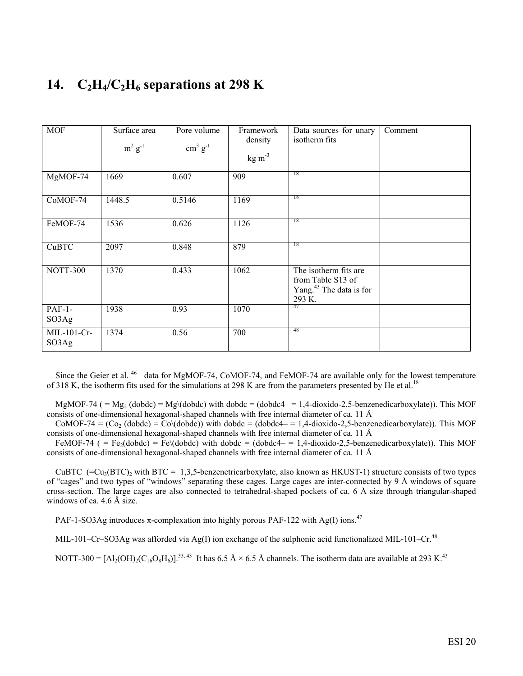### 14.  $C_2H_4/C_2H_6$  separations at 298 K

| MOF                  | Surface area<br>$m^2$ $g^{-1}$ | Pore volume<br>$\text{cm}^3 \text{ g}^{-1}$ | Framework<br>density<br>$kg \, \text{m}^{-3}$ | Data sources for unary<br>isotherm fits                                                     | Comment |
|----------------------|--------------------------------|---------------------------------------------|-----------------------------------------------|---------------------------------------------------------------------------------------------|---------|
| MgMOF-74             | 1669                           | 0.607                                       | 909                                           | 18                                                                                          |         |
| $CoMOF-74$           | 1448.5                         | 0.5146                                      | 1169                                          | -18                                                                                         |         |
| FeMOF-74             | 1536                           | 0.626                                       | 1126                                          | 18                                                                                          |         |
| CuBTC                | 2097                           | 0.848                                       | 879                                           | 18                                                                                          |         |
| NOTT-300             | 1370                           | 0.433                                       | 1062                                          | The isotherm fits are<br>from Table S13 of<br>Yang. <sup>43</sup> The data is for<br>293 K. |         |
| $PAF-1-$<br>SO3Ag    | 1938                           | 0.93                                        | 1070                                          | 47                                                                                          |         |
| MIL-101-Cr-<br>SO3Ag | 1374                           | 0.56                                        | 700                                           | 48                                                                                          |         |

Since the Geier et al.<sup>46</sup> data for MgMOF-74, CoMOF-74, and FeMOF-74 are available only for the lowest temperature of 318 K, the isotherm fits used for the simulations at 298 K are from the parameters presented by He et al.<sup>18</sup>

MgMOF-74 ( = Mg<sub>2</sub> (dobdc) = Mg\(dobdc) with dobdc = (dobdc4- = 1,4-dioxido-2,5-benzenedicarboxylate)). This MOF consists of one-dimensional hexagonal-shaped channels with free internal diameter of ca. 11 Å

 $COMOF-74 = (Co<sub>2</sub> (dobdc) = Co<sub>2</sub> (dobdc))$  with dobdc = (dobdc4- = 1,4-dioxido-2,5-benzenedicarboxylate)). This MOF consists of one-dimensional hexagonal-shaped channels with free internal diameter of ca. 11 Å

FeMOF-74 ( = Fe<sub>2</sub>(dobdc) = Fe\(dobdc) with dobdc = (dobdc4- = 1,4-dioxido-2,5-benzenedicarboxylate)). This MOF consists of one-dimensional hexagonal-shaped channels with free internal diameter of ca. 11 Å

CuBTC  $(=Cu<sub>3</sub>(BTC)<sub>2</sub>$  with BTC = 1,3,5-benzenetricarboxylate, also known as HKUST-1) structure consists of two types of "cages" and two types of "windows" separating these cages. Large cages are inter-connected by 9 Å windows of square cross-section. The large cages are also connected to tetrahedral-shaped pockets of ca. 6 Å size through triangular-shaped windows of ca. 4.6 Å size.

PAF-1-SO3Ag introduces  $\pi$ -complexation into highly porous PAF-122 with Ag(I) ions.<sup>47</sup>

MIL-101–Cr–SO3Ag was afforded via Ag(I) ion exchange of the sulphonic acid functionalized MIL-101–Cr.<sup>48</sup>

NOTT-300 =  $[A_2(OH)_2(C_{16}O_8H_6)]^{33,43}$  It has 6.5 Å × 6.5 Å channels. The isotherm data are available at 293 K.<sup>43</sup>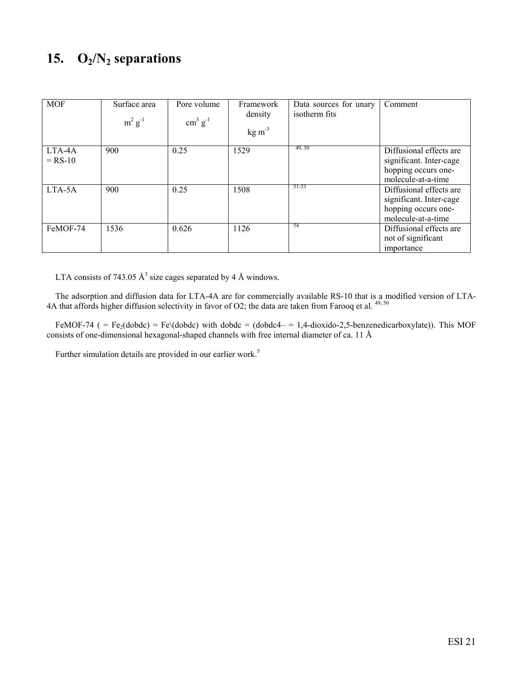## 15. **O<sub>2</sub>/N<sub>2</sub> separations**

| <b>MOF</b>          | Surface area<br>$m^2$ $g^{-1}$ | Pore volume<br>$\text{cm}^3 \text{ g}^{-1}$ | Framework<br>density<br>$kg \, \text{m}^{-3}$ | Data sources for unary<br>isotherm fits | Comment                                                                                         |
|---------------------|--------------------------------|---------------------------------------------|-----------------------------------------------|-----------------------------------------|-------------------------------------------------------------------------------------------------|
| LTA-4A<br>$=$ RS-10 | 900                            | 0.25                                        | 1529                                          | 49, 50                                  | Diffusional effects are<br>significant. Inter-cage<br>hopping occurs one-<br>molecule-at-a-time |
| LTA-5A              | 900                            | 0.25                                        | 1508                                          | 51-53                                   | Diffusional effects are<br>significant. Inter-cage<br>hopping occurs one-<br>molecule-at-a-time |
| FeMOF-74            | 1536                           | 0.626                                       | 1126                                          | -54                                     | Diffusional effects are<br>not of significant<br>importance                                     |

LTA consists of 743.05  $\AA$ <sup>3</sup> size cages separated by 4 Å windows.

The adsorption and diffusion data for LTA-4A are for commercially available RS-10 that is a modified version of LTA-4A that affords higher diffusion selectivity in favor of O2; the data are taken from Farooq et al.  $49,50$ 

FeMOF-74 ( = Fe<sub>2</sub>(dobdc) = Fe\(dobdc) with dobdc = (dobdc4- = 1,4-dioxido-2,5-benzenedicarboxylate)). This MOF consists of one-dimensional hexagonal-shaped channels with free internal diameter of ca. 11 Å

Further simulation details are provided in our earlier work.<sup>5</sup>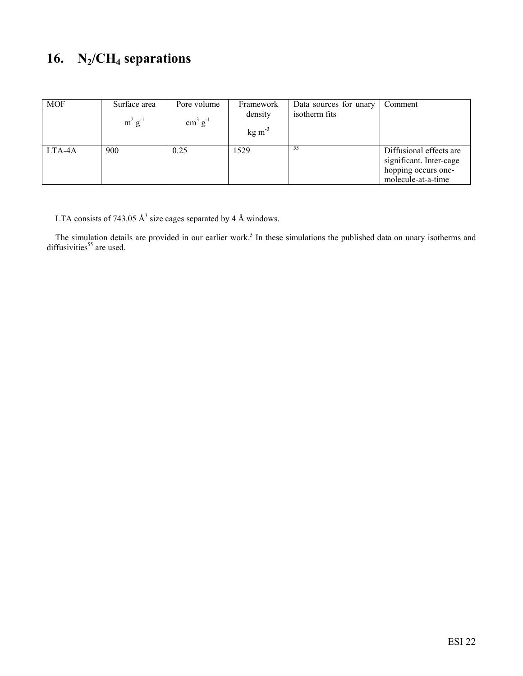## **16. N2/CH4 separations**

| <b>MOF</b> | Surface area<br>$m^2$ g <sup>-1</sup> | Pore volume<br>$\text{cm}^3 \text{ g}^{-1}$ | Framework<br>density<br>$kg \, \text{m}^{-3}$ | Data sources for unary<br>isotherm fits | Comment                                                                                         |
|------------|---------------------------------------|---------------------------------------------|-----------------------------------------------|-----------------------------------------|-------------------------------------------------------------------------------------------------|
| LTA-4A     | 900                                   | 0.25                                        | 1529                                          |                                         | Diffusional effects are<br>significant. Inter-cage<br>hopping occurs one-<br>molecule-at-a-time |

LTA consists of 743.05  $\AA$ <sup>3</sup> size cages separated by 4 Å windows.

The simulation details are provided in our earlier work.<sup>5</sup> In these simulations the published data on unary isotherms and diffusivities $55$  are used.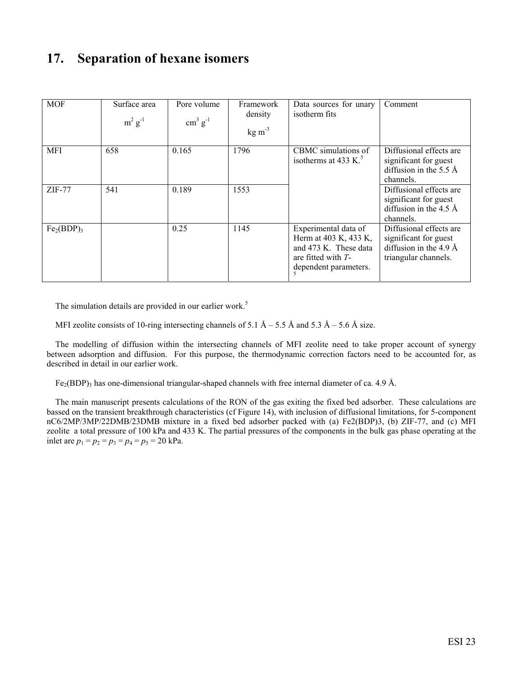### **17. Separation of hexane isomers**

| <b>MOF</b>                         | Surface area<br>$m^2$ $g^{-1}$ | Pore volume<br>$\text{cm}^3 \text{ g}^{-1}$ | Framework<br>density<br>$kg \, \text{m}^{-3}$ | Data sources for unary<br>isotherm fits                                                                                 | Comment                                                                                                |
|------------------------------------|--------------------------------|---------------------------------------------|-----------------------------------------------|-------------------------------------------------------------------------------------------------------------------------|--------------------------------------------------------------------------------------------------------|
| <b>MFI</b>                         | 658                            | 0.165                                       | 1796                                          | CBMC simulations of<br>isotherms at 433 K. $5$                                                                          | Diffusional effects are<br>significant for guest<br>diffusion in the 5.5 $\AA$<br>channels.            |
| $ZIF-77$                           | 541                            | 0.189                                       | 1553                                          |                                                                                                                         | Diffusional effects are<br>significant for guest<br>diffusion in the 4.5 $\AA$<br>channels.            |
| Fe <sub>2</sub> (BDP) <sub>3</sub> |                                | 0.25                                        | 1145                                          | Experimental data of<br>Herm at 403 K, 433 K,<br>and 473 K. These data<br>are fitted with $T-$<br>dependent parameters. | Diffusional effects are<br>significant for guest<br>diffusion in the 4.9 $\AA$<br>triangular channels. |

The simulation details are provided in our earlier work.<sup>5</sup>

MFI zeolite consists of 10-ring intersecting channels of 5.1  $\AA$  – 5.5 Å and 5.3  $\AA$  – 5.6 Å size.

The modelling of diffusion within the intersecting channels of MFI zeolite need to take proper account of synergy between adsorption and diffusion. For this purpose, the thermodynamic correction factors need to be accounted for, as described in detail in our earlier work.

 $Fe<sub>2</sub>(BDP)<sub>3</sub>$  has one-dimensional triangular-shaped channels with free internal diameter of ca. 4.9 Å.

The main manuscript presents calculations of the RON of the gas exiting the fixed bed adsorber. These calculations are bassed on the transient breakthrough characteristics (cf Figure 14), with inclusion of diffusional limitations, for 5-component nC6/2MP/3MP/22DMB/23DMB mixture in a fixed bed adsorber packed with (a) Fe2(BDP)3, (b) ZIF-77, and (c) MFI zeolite a total pressure of 100 kPa and 433 K. The partial pressures of the components in the bulk gas phase operating at the inlet are  $p_1 = p_2 = p_3 = p_4 = p_5 = 20$  kPa.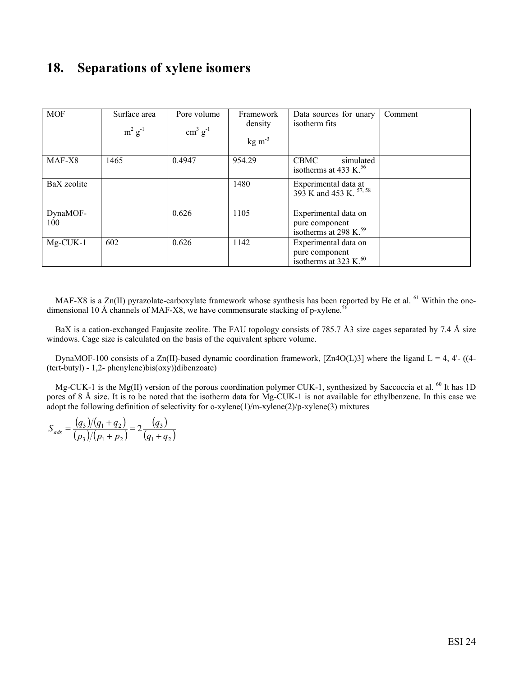### **18. Separations of xylene isomers**

| <b>MOF</b>      | Surface area<br>$m^2$ $g^{-1}$ | Pore volume<br>$\text{cm}^3 \text{ g}^{-1}$ | Framework<br>density<br>$kg \, \text{m}^{-3}$ | Data sources for unary<br>isotherm fits                               | Comment |
|-----------------|--------------------------------|---------------------------------------------|-----------------------------------------------|-----------------------------------------------------------------------|---------|
| MAF-X8          | 1465                           | 0.4947                                      | 954.29                                        | CBMC<br>simulated<br>isotherms at 433 K. $56$                         |         |
| BaX zeolite     |                                |                                             | 1480                                          | Experimental data at 393 K and 453 K. $57,58$                         |         |
| DynaMOF-<br>100 |                                | 0.626                                       | 1105                                          | Experimental data on<br>pure component<br>isotherms at 298 K. $^{59}$ |         |
| $Mg$ -CUK-1     | 602                            | 0.626                                       | 1142                                          | Experimental data on<br>pure component<br>isotherms at 323 K. $^{60}$ |         |

MAF-X8 is a Zn(II) pyrazolate-carboxylate framework whose synthesis has been reported by He et al.  $^{61}$  Within the onedimensional 10 Å channels of MAF-X8, we have commensurate stacking of p-xylene.<sup>56</sup>

BaX is a cation-exchanged Faujasite zeolite. The FAU topology consists of 785.7 Å3 size cages separated by 7.4 Å size windows. Cage size is calculated on the basis of the equivalent sphere volume.

DynaMOF-100 consists of a Zn(II)-based dynamic coordination framework, [Zn4O(L)3] where the ligand L = 4, 4'- ((4-(tert-butyl) - 1,2- phenylene)bis(oxy))dibenzoate)

Mg-CUK-1 is the Mg(II) version of the porous coordination polymer CUK-1, synthesized by Saccoccia et al.  $^{60}$  It has 1D pores of 8 Å size. It is to be noted that the isotherm data for Mg-CUK-1 is not available for ethylbenzene. In this case we adopt the following definition of selectivity for o-xylene(1)/m-xylene(2)/p-xylene(3) mixtures

$$
S_{ads} = \frac{(q_3)/(q_1 + q_2)}{(p_3)/(p_1 + p_2)} = 2\frac{(q_3)}{(q_1 + q_2)}
$$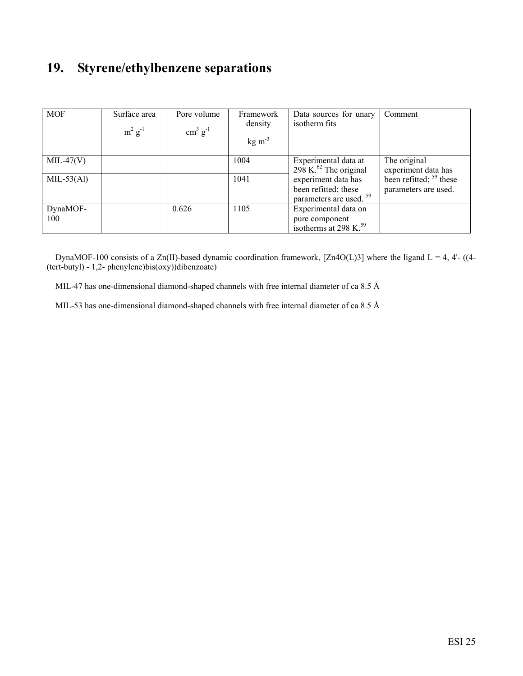## **19. Styrene/ethylbenzene separations**

| <b>MOF</b>                  | Surface area<br>$m^2$ g <sup>-1</sup> | Pore volume<br>$\text{cm}^3 \text{ g}^{-1}$ | Framework<br>density<br>$kg \, \text{m}^{-3}$ | Data sources for unary<br>isotherm fits                                                                                                          | Comment                                                                                  |
|-----------------------------|---------------------------------------|---------------------------------------------|-----------------------------------------------|--------------------------------------------------------------------------------------------------------------------------------------------------|------------------------------------------------------------------------------------------|
| $MIL-47(V)$<br>$MIL-53(Al)$ |                                       |                                             | 1004<br>1041                                  | Experimental data at<br>$298$ K. <sup>62</sup> The original<br>experiment data has<br>been refitted; these<br>parameters are used. <sup>59</sup> | The original<br>experiment data has<br>been refitted; $59$ these<br>parameters are used. |
| DynaMOF-<br>100             |                                       | 0.626                                       | 1105                                          | Experimental data on<br>pure component<br>isotherms at 298 K. <sup>59</sup>                                                                      |                                                                                          |

DynaMOF-100 consists of a Zn(II)-based dynamic coordination framework, [Zn4O(L)3] where the ligand L = 4, 4'- ((4-(tert-butyl) - 1,2- phenylene)bis(oxy))dibenzoate)

MIL-47 has one-dimensional diamond-shaped channels with free internal diameter of ca 8.5 Å

MIL-53 has one-dimensional diamond-shaped channels with free internal diameter of ca 8.5 Å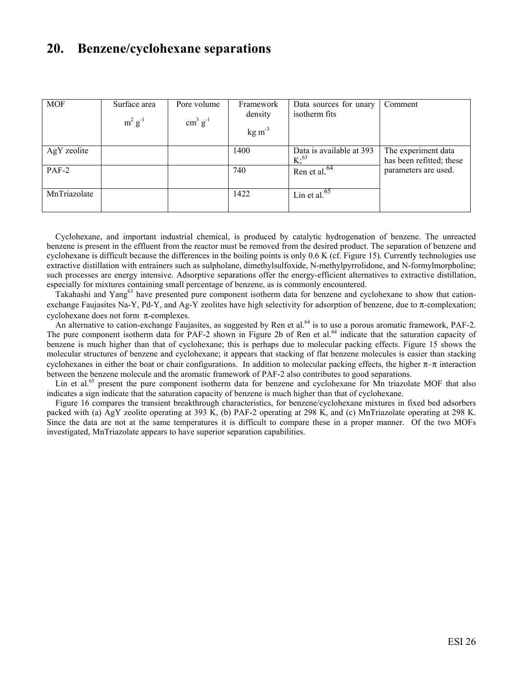#### **20. Benzene/cyclohexane separations**

| <b>MOF</b>   | Surface area<br>$m^2$ $g^{-1}$ | Pore volume<br>$\text{cm}^3 \text{ g}^{-1}$ | Framework<br>density<br>$kg \, \text{m}^{-3}$ | Data sources for unary<br>isotherm fits | Comment                                         |
|--------------|--------------------------------|---------------------------------------------|-----------------------------------------------|-----------------------------------------|-------------------------------------------------|
| AgY zeolite  |                                |                                             | 1400                                          | Data is available at 393<br>$K; ^{63}$  | The experiment data<br>has been refitted; these |
| $PAF-2$      |                                |                                             | 740                                           | Ren et al. <sup>64</sup>                | parameters are used.                            |
| MnTriazolate |                                |                                             | 1422                                          | Lin et al. $65$                         |                                                 |

Cyclohexane, and important industrial chemical, is produced by catalytic hydrogenation of benzene. The unreacted benzene is present in the effluent from the reactor must be removed from the desired product. The separation of benzene and cyclohexane is difficult because the differences in the boiling points is only 0.6 K (cf. Figure 15). Currently technologies use extractive distillation with entrainers such as sulpholane, dimethylsulfoxide, N-methylpyrrolidone, and N-formylmorpholine; such processes are energy intensive. Adsorptive separations offer the energy-efficient alternatives to extractive distillation, especially for mixtures containing small percentage of benzene, as is commonly encountered.

Takahashi and Yang<sup>63</sup> have presented pure component isotherm data for benzene and cyclohexane to show that cationexchange Faujasites Na-Y, Pd-Y, and Ag-Y zeolites have high selectivity for adsorption of benzene, due to  $\pi$ -complexation; cyclohexane does not form  $\pi$ -complexes.

An alternative to cation-exchange Faujasites, as suggested by Ren et al.<sup>64</sup> is to use a porous aromatic framework, PAF-2. The pure component isotherm data for PAF-2 shown in Figure 2b of Ren et al.<sup>64</sup> indicate that the saturation capacity of benzene is much higher than that of cyclohexane; this is perhaps due to molecular packing effects. Figure 15 shows the molecular structures of benzene and cyclohexane; it appears that stacking of flat benzene molecules is easier than stacking cyclohexanes in either the boat or chair configurations. In addition to molecular packing effects, the higher  $\pi-\pi$  interaction between the benzene molecule and the aromatic framework of PAF-2 also contributes to good separations.

Lin et al.<sup>65</sup> present the pure component isotherm data for benzene and cyclohexane for Mn triazolate MOF that also indicates a sign indicate that the saturation capacity of benzene is much higher than that of cyclohexane.

Figure 16 compares the transient breakthrough characteristics, for benzene/cyclohexane mixtures in fixed bed adsorbers packed with (a) AgY zeolite operating at 393 K, (b) PAF-2 operating at 298 K, and (c) MnTriazolate operating at 298 K. Since the data are not at the same temperatures it is difficult to compare these in a proper manner. Of the two MOFs investigated, MnTriazolate appears to have superior separation capabilities.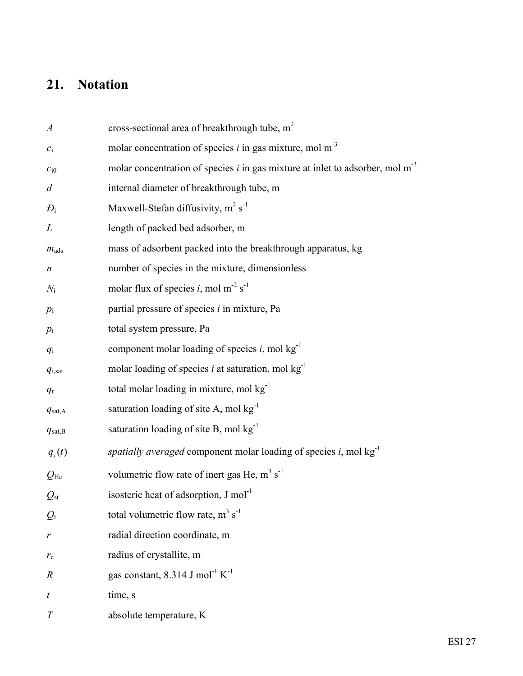## **21. Notation**

| $\boldsymbol{A}$    | cross-sectional area of breakthrough tube, m <sup>2</sup>                                   |
|---------------------|---------------------------------------------------------------------------------------------|
| $\mathcal{C}_1$     | molar concentration of species $i$ in gas mixture, mol m <sup>-3</sup>                      |
| $c_{i0}$            | molar concentration of species $i$ in gas mixture at inlet to adsorber, mol m <sup>-3</sup> |
| $\overline{d}$      | internal diameter of breakthrough tube, m                                                   |
| $D_i$               | Maxwell-Stefan diffusivity, $m^2 s^{-1}$                                                    |
| L                   | length of packed bed adsorber, m                                                            |
| $m_{\text{ads}}$    | mass of adsorbent packed into the breakthrough apparatus, kg                                |
| $\boldsymbol{n}$    | number of species in the mixture, dimensionless                                             |
| $N_{\rm i}$         | molar flux of species i, mol m <sup>-2</sup> s <sup>-1</sup>                                |
| $p_i$               | partial pressure of species $i$ in mixture, Pa                                              |
| $p_{\rm t}$         | total system pressure, Pa                                                                   |
| $q_i$               | component molar loading of species $i$ , mol $kg^{-1}$                                      |
| $q_{i, \text{sat}}$ | molar loading of species i at saturation, mol $kg^{-1}$                                     |
| $q_{\rm t}$         | total molar loading in mixture, mol kg <sup>-1</sup>                                        |
| $q_{\text{sat,A}}$  | saturation loading of site A, mol kg <sup>-1</sup>                                          |
| $q_{\text{sat,B}}$  | saturation loading of site B, mol kg <sup>-1</sup>                                          |
| $q_i(t)$            | spatially averaged component molar loading of species i, mol $kg^{-1}$                      |
| $Q_{\text{He}}$     | volumetric flow rate of inert gas He, m <sup>3</sup> s <sup>-1</sup>                        |
| $Q_{\rm st}$        | isosteric heat of adsorption, J mol <sup>-1</sup>                                           |
| $Q_{t}$             | total volumetric flow rate, $m^3 s^{-1}$                                                    |
| r                   | radial direction coordinate, m                                                              |
| $r_{\rm c}$         | radius of crystallite, m                                                                    |
| $\boldsymbol{R}$    | gas constant, 8.314 J mol <sup>-1</sup> $K^{-1}$                                            |
| t                   | time, s                                                                                     |
| T                   | absolute temperature, K                                                                     |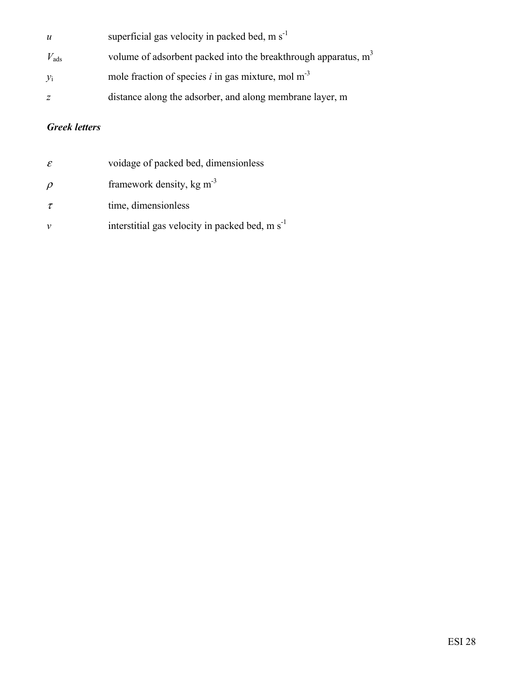| $\boldsymbol{u}$ | superficial gas velocity in packed bed, m $s^{-1}$                         |
|------------------|----------------------------------------------------------------------------|
| $V_{\text{ads}}$ | volume of adsorbent packed into the breakthrough apparatus, m <sup>3</sup> |
| $y_i$            | mole fraction of species i in gas mixture, mol $m3$                        |
| Ζ                | distance along the adsorber, and along membrane layer, m                   |

#### *Greek letters*

| $\mathcal E$ | voidage of packed bed, dimensionless                       |
|--------------|------------------------------------------------------------|
| $\rho$       | framework density, $kg m3$                                 |
| $\tau$       | time, dimensionless                                        |
| $\mathcal V$ | interstitial gas velocity in packed bed, m s <sup>-1</sup> |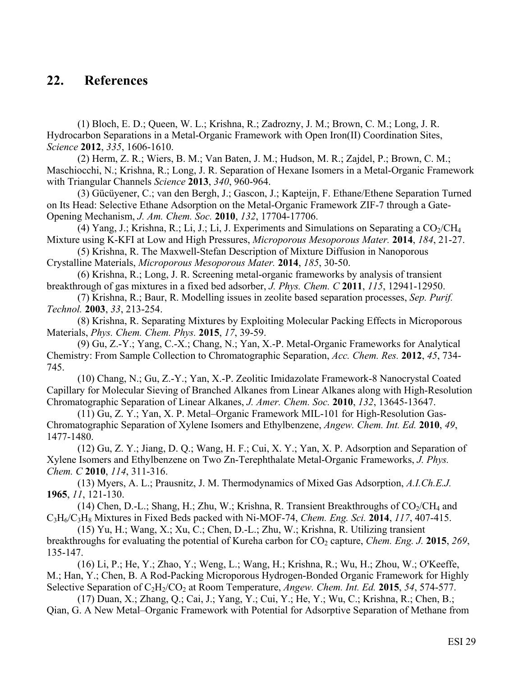### **22. References**

 (1) Bloch, E. D.; Queen, W. L.; Krishna, R.; Zadrozny, J. M.; Brown, C. M.; Long, J. R. Hydrocarbon Separations in a Metal-Organic Framework with Open Iron(II) Coordination Sites, *Science* **2012**, *335*, 1606-1610.

 (2) Herm, Z. R.; Wiers, B. M.; Van Baten, J. M.; Hudson, M. R.; Zajdel, P.; Brown, C. M.; Maschiocchi, N.; Krishna, R.; Long, J. R. Separation of Hexane Isomers in a Metal-Organic Framework with Triangular Channels *Science* **2013**, *340*, 960-964.

 (3) Gücüyener, C.; van den Bergh, J.; Gascon, J.; Kapteijn, F. Ethane/Ethene Separation Turned on Its Head: Selective Ethane Adsorption on the Metal-Organic Framework ZIF-7 through a Gate-Opening Mechanism, *J. Am. Chem. Soc.* **2010**, *132*, 17704-17706.

(4) Yang, J.; Krishna, R.; Li, J.; Li, J. Experiments and Simulations on Separating a  $CO_2/CH_4$ Mixture using K-KFI at Low and High Pressures, *Microporous Mesoporous Mater.* **2014**, *184*, 21-27.

 (5) Krishna, R. The Maxwell-Stefan Description of Mixture Diffusion in Nanoporous Crystalline Materials, *Microporous Mesoporous Mater.* **2014**, *185*, 30-50.

 (6) Krishna, R.; Long, J. R. Screening metal-organic frameworks by analysis of transient breakthrough of gas mixtures in a fixed bed adsorber, *J. Phys. Chem. C* **2011**, *115*, 12941-12950.

 (7) Krishna, R.; Baur, R. Modelling issues in zeolite based separation processes, *Sep. Purif. Technol.* **2003**, *33*, 213-254.

 (8) Krishna, R. Separating Mixtures by Exploiting Molecular Packing Effects in Microporous Materials, *Phys. Chem. Chem. Phys.* **2015**, *17*, 39-59.

 (9) Gu, Z.-Y.; Yang, C.-X.; Chang, N.; Yan, X.-P. Metal-Organic Frameworks for Analytical Chemistry: From Sample Collection to Chromatographic Separation, *Acc. Chem. Res.* **2012**, *45*, 734- 745.

 (10) Chang, N.; Gu, Z.-Y.; Yan, X.-P. Zeolitic Imidazolate Framework-8 Nanocrystal Coated Capillary for Molecular Sieving of Branched Alkanes from Linear Alkanes along with High-Resolution Chromatographic Separation of Linear Alkanes, *J. Amer. Chem. Soc.* **2010**, *132*, 13645-13647.

 (11) Gu, Z. Y.; Yan, X. P. Metal–Organic Framework MIL-101 for High-Resolution Gas-Chromatographic Separation of Xylene Isomers and Ethylbenzene, *Angew. Chem. Int. Ed.* **2010**, *49*, 1477-1480.

 (12) Gu, Z. Y.; Jiang, D. Q.; Wang, H. F.; Cui, X. Y.; Yan, X. P. Adsorption and Separation of Xylene Isomers and Ethylbenzene on Two Zn-Terephthalate Metal-Organic Frameworks, *J. Phys. Chem. C* **2010**, *114*, 311-316.

 (13) Myers, A. L.; Prausnitz, J. M. Thermodynamics of Mixed Gas Adsorption, *A.I.Ch.E.J.* **1965**, *11*, 121-130.

(14) Chen, D.-L.; Shang, H.; Zhu, W.; Krishna, R. Transient Breakthroughs of  $CO_2/CH_4$  and C3H6/C3H8 Mixtures in Fixed Beds packed with Ni-MOF-74, *Chem. Eng. Sci.* **2014**, *117*, 407-415.

 (15) Yu, H.; Wang, X.; Xu, C.; Chen, D.-L.; Zhu, W.; Krishna, R. Utilizing transient breakthroughs for evaluating the potential of Kureha carbon for CO<sub>2</sub> capture, *Chem. Eng. J.* **2015**, *269*, 135-147.

 (16) Li, P.; He, Y.; Zhao, Y.; Weng, L.; Wang, H.; Krishna, R.; Wu, H.; Zhou, W.; O'Keeffe, M.; Han, Y.; Chen, B. A Rod-Packing Microporous Hydrogen-Bonded Organic Framework for Highly Selective Separation of C<sub>2</sub>H<sub>2</sub>/CO<sub>2</sub> at Room Temperature, *Angew. Chem. Int. Ed.* **2015**, 54, 574-577.

 (17) Duan, X.; Zhang, Q.; Cai, J.; Yang, Y.; Cui, Y.; He, Y.; Wu, C.; Krishna, R.; Chen, B.; Qian, G. A New Metal–Organic Framework with Potential for Adsorptive Separation of Methane from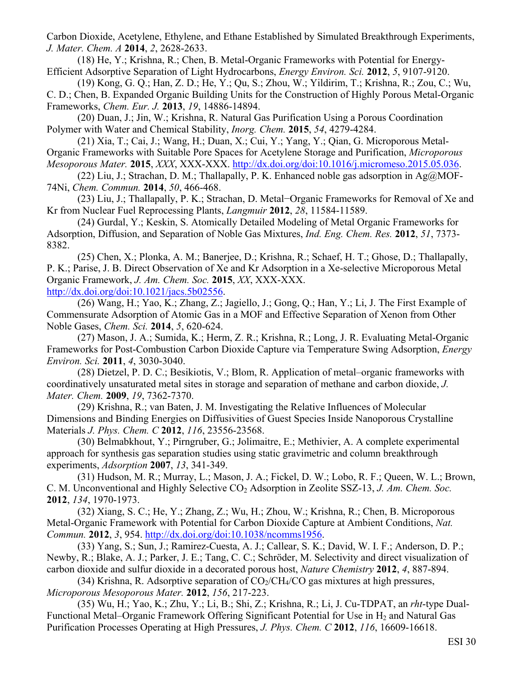Carbon Dioxide, Acetylene, Ethylene, and Ethane Established by Simulated Breakthrough Experiments, *J. Mater. Chem. A* **2014**, *2*, 2628-2633.

 (18) He, Y.; Krishna, R.; Chen, B. Metal-Organic Frameworks with Potential for Energy-Efficient Adsorptive Separation of Light Hydrocarbons, *Energy Environ. Sci.* **2012**, *5*, 9107-9120.

 (19) Kong, G. Q.; Han, Z. D.; He, Y.; Qu, S.; Zhou, W.; Yildirim, T.; Krishna, R.; Zou, C.; Wu, C. D.; Chen, B. Expanded Organic Building Units for the Construction of Highly Porous Metal-Organic Frameworks, *Chem. Eur. J.* **2013**, *19*, 14886-14894.

 (20) Duan, J.; Jin, W.; Krishna, R. Natural Gas Purification Using a Porous Coordination Polymer with Water and Chemical Stability, *Inorg. Chem.* **2015**, *54*, 4279-4284.

 (21) Xia, T.; Cai, J.; Wang, H.; Duan, X.; Cui, Y.; Yang, Y.; Qian, G. Microporous Metal-Organic Frameworks with Suitable Pore Spaces for Acetylene Storage and Purification, *Microporous Mesoporous Mater.* **2015**, *XXX*, XXX-XXX. http://dx.doi.org/doi:10.1016/j.micromeso.2015.05.036.

 (22) Liu, J.; Strachan, D. M.; Thallapally, P. K. Enhanced noble gas adsorption in Ag@MOF-74Ni, *Chem. Commun.* **2014**, *50*, 466-468.

 (23) Liu, J.; Thallapally, P. K.; Strachan, D. Metal−Organic Frameworks for Removal of Xe and Kr from Nuclear Fuel Reprocessing Plants, *Langmuir* **2012**, *28*, 11584-11589.

 (24) Gurdal, Y.; Keskin, S. Atomically Detailed Modeling of Metal Organic Frameworks for Adsorption, Diffusion, and Separation of Noble Gas Mixtures, *Ind. Eng. Chem. Res.* **2012**, *51*, 7373- 8382.

 (25) Chen, X.; Plonka, A. M.; Banerjee, D.; Krishna, R.; Schaef, H. T.; Ghose, D.; Thallapally, P. K.; Parise, J. B. Direct Observation of Xe and Kr Adsorption in a Xe-selective Microporous Metal Organic Framework, *J. Am. Chem. Soc.* **2015**, *XX*, XXX-XXX. http://dx.doi.org/doi:10.1021/jacs.5b02556.

 (26) Wang, H.; Yao, K.; Zhang, Z.; Jagiello, J.; Gong, Q.; Han, Y.; Li, J. The First Example of Commensurate Adsorption of Atomic Gas in a MOF and Effective Separation of Xenon from Other Noble Gases, *Chem. Sci.* **2014**, *5*, 620-624.

 (27) Mason, J. A.; Sumida, K.; Herm, Z. R.; Krishna, R.; Long, J. R. Evaluating Metal-Organic Frameworks for Post-Combustion Carbon Dioxide Capture via Temperature Swing Adsorption, *Energy Environ. Sci.* **2011**, *4*, 3030-3040.

 (28) Dietzel, P. D. C.; Besikiotis, V.; Blom, R. Application of metal–organic frameworks with coordinatively unsaturated metal sites in storage and separation of methane and carbon dioxide, *J. Mater. Chem.* **2009**, *19*, 7362-7370.

 (29) Krishna, R.; van Baten, J. M. Investigating the Relative Influences of Molecular Dimensions and Binding Energies on Diffusivities of Guest Species Inside Nanoporous Crystalline Materials *J. Phys. Chem. C* **2012**, *116*, 23556-23568.

 (30) Belmabkhout, Y.; Pirngruber, G.; Jolimaitre, E.; Methivier, A. A complete experimental approach for synthesis gas separation studies using static gravimetric and column breakthrough experiments, *Adsorption* **2007**, *13*, 341-349.

 (31) Hudson, M. R.; Murray, L.; Mason, J. A.; Fickel, D. W.; Lobo, R. F.; Queen, W. L.; Brown, C. M. Unconventional and Highly Selective CO<sub>2</sub> Adsorption in Zeolite SSZ-13, *J. Am. Chem. Soc.* **2012**, *134*, 1970-1973.

 (32) Xiang, S. C.; He, Y.; Zhang, Z.; Wu, H.; Zhou, W.; Krishna, R.; Chen, B. Microporous Metal-Organic Framework with Potential for Carbon Dioxide Capture at Ambient Conditions, *Nat. Commun.* **2012**, *3*, 954. http://dx.doi.org/doi:10.1038/ncomms1956.

 (33) Yang, S.; Sun, J.; Ramirez-Cuesta, A. J.; Callear, S. K.; David, W. I. F.; Anderson, D. P.; Newby, R.; Blake, A. J.; Parker, J. E.; Tang, C. C.; Schröder, M. Selectivity and direct visualization of carbon dioxide and sulfur dioxide in a decorated porous host, *Nature Chemistry* **2012**, *4*, 887-894.

(34) Krishna, R. Adsorptive separation of  $CO_2/CH_4/CO$  gas mixtures at high pressures, *Microporous Mesoporous Mater.* **2012**, *156*, 217-223.

 (35) Wu, H.; Yao, K.; Zhu, Y.; Li, B.; Shi, Z.; Krishna, R.; Li, J. Cu-TDPAT, an *rht*-type Dual-Functional Metal–Organic Framework Offering Significant Potential for Use in  $H_2$  and Natural Gas Purification Processes Operating at High Pressures, *J. Phys. Chem. C* **2012**, *116*, 16609-16618.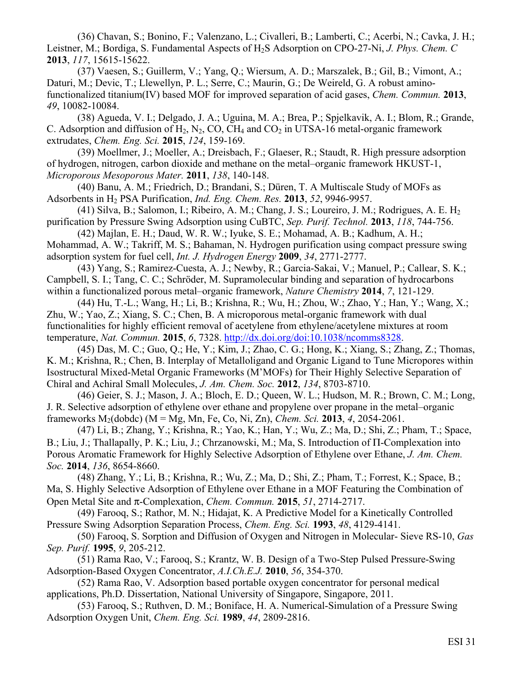(36) Chavan, S.; Bonino, F.; Valenzano, L.; Civalleri, B.; Lamberti, C.; Acerbi, N.; Cavka, J. H.; Leistner, M.; Bordiga, S. Fundamental Aspects of H2S Adsorption on CPO-27-Ni, *J. Phys. Chem. C* **2013**, *117*, 15615-15622.

 (37) Vaesen, S.; Guillerm, V.; Yang, Q.; Wiersum, A. D.; Marszalek, B.; Gil, B.; Vimont, A.; Daturi, M.; Devic, T.; Llewellyn, P. L.; Serre, C.; Maurin, G.; De Weireld, G. A robust aminofunctionalized titanium(IV) based MOF for improved separation of acid gases, *Chem. Commun.* **2013**, *49*, 10082-10084.

 (38) Agueda, V. I.; Delgado, J. A.; Uguina, M. A.; Brea, P.; Spjelkavik, A. I.; Blom, R.; Grande, C. Adsorption and diffusion of  $H_2$ , N<sub>2</sub>, CO, CH<sub>4</sub> and CO<sub>2</sub> in UTSA-16 metal-organic framework extrudates, *Chem. Eng. Sci.* **2015**, *124*, 159-169.

 (39) Moellmer, J.; Moeller, A.; Dreisbach, F.; Glaeser, R.; Staudt, R. High pressure adsorption of hydrogen, nitrogen, carbon dioxide and methane on the metal–organic framework HKUST-1, *Microporous Mesoporous Mater.* **2011**, *138*, 140-148.

 (40) Banu, A. M.; Friedrich, D.; Brandani, S.; Düren, T. A Multiscale Study of MOFs as Adsorbents in H2 PSA Purification, *Ind. Eng. Chem. Res.* **2013**, *52*, 9946-9957.

 (41) Silva, B.; Salomon, I.; Ribeiro, A. M.; Chang, J. S.; Loureiro, J. M.; Rodrigues, A. E. H2 purification by Pressure Swing Adsorption using CuBTC, *Sep. Purif. Technol.* **2013**, *118*, 744-756.

 (42) Majlan, E. H.; Daud, W. R. W.; Iyuke, S. E.; Mohamad, A. B.; Kadhum, A. H.; Mohammad, A. W.; Takriff, M. S.; Bahaman, N. Hydrogen purification using compact pressure swing adsorption system for fuel cell, *Int. J. Hydrogen Energy* **2009**, *34*, 2771-2777.

 (43) Yang, S.; Ramirez-Cuesta, A. J.; Newby, R.; Garcia-Sakai, V.; Manuel, P.; Callear, S. K.; Campbell, S. I.; Tang, C. C.; Schröder, M. Supramolecular binding and separation of hydrocarbons within a functionalized porous metal–organic framework, *Nature Chemistry* **2014**, *7*, 121-129.

 (44) Hu, T.-L.; Wang, H.; Li, B.; Krishna, R.; Wu, H.; Zhou, W.; Zhao, Y.; Han, Y.; Wang, X.; Zhu, W.; Yao, Z.; Xiang, S. C.; Chen, B. A microporous metal-organic framework with dual functionalities for highly efficient removal of acetylene from ethylene/acetylene mixtures at room temperature, *Nat. Commun.* **2015**, *6*, 7328. http://dx.doi.org/doi:10.1038/ncomms8328.

 (45) Das, M. C.; Guo, Q.; He, Y.; Kim, J.; Zhao, C. G.; Hong, K.; Xiang, S.; Zhang, Z.; Thomas, K. M.; Krishna, R.; Chen, B. Interplay of Metalloligand and Organic Ligand to Tune Micropores within Isostructural Mixed-Metal Organic Frameworks (M'MOFs) for Their Highly Selective Separation of Chiral and Achiral Small Molecules, *J. Am. Chem. Soc.* **2012**, *134*, 8703-8710.

 (46) Geier, S. J.; Mason, J. A.; Bloch, E. D.; Queen, W. L.; Hudson, M. R.; Brown, C. M.; Long, J. R. Selective adsorption of ethylene over ethane and propylene over propane in the metal–organic frameworks M2(dobdc) (M = Mg, Mn, Fe, Co, Ni, Zn), *Chem. Sci.* **2013**, *4*, 2054-2061.

 (47) Li, B.; Zhang, Y.; Krishna, R.; Yao, K.; Han, Y.; Wu, Z.; Ma, D.; Shi, Z.; Pham, T.; Space, B.; Liu, J.; Thallapally, P. K.; Liu, J.; Chrzanowski, M.; Ma, S. Introduction of Π-Complexation into Porous Aromatic Framework for Highly Selective Adsorption of Ethylene over Ethane, *J. Am. Chem. Soc.* **2014**, *136*, 8654-8660.

 (48) Zhang, Y.; Li, B.; Krishna, R.; Wu, Z.; Ma, D.; Shi, Z.; Pham, T.; Forrest, K.; Space, B.; Ma, S. Highly Selective Adsorption of Ethylene over Ethane in a MOF Featuring the Combination of Open Metal Site and π-Complexation, *Chem. Commun.* **2015**, *51*, 2714-2717.

 (49) Farooq, S.; Rathor, M. N.; Hidajat, K. A Predictive Model for a Kinetically Controlled Pressure Swing Adsorption Separation Process, *Chem. Eng. Sci.* **1993**, *48*, 4129-4141.

 (50) Farooq, S. Sorption and Diffusion of Oxygen and Nitrogen in Molecular- Sieve RS-10, *Gas Sep. Purif.* **1995**, *9*, 205-212.

 (51) Rama Rao, V.; Farooq, S.; Krantz, W. B. Design of a Two-Step Pulsed Pressure-Swing Adsorption-Based Oxygen Concentrator, *A.I.Ch.E.J.* **2010**, *56*, 354-370.

 (52) Rama Rao, V. Adsorption based portable oxygen concentrator for personal medical applications, Ph.D. Dissertation, National University of Singapore, Singapore, 2011.

 (53) Farooq, S.; Ruthven, D. M.; Boniface, H. A. Numerical-Simulation of a Pressure Swing Adsorption Oxygen Unit, *Chem. Eng. Sci.* **1989**, *44*, 2809-2816.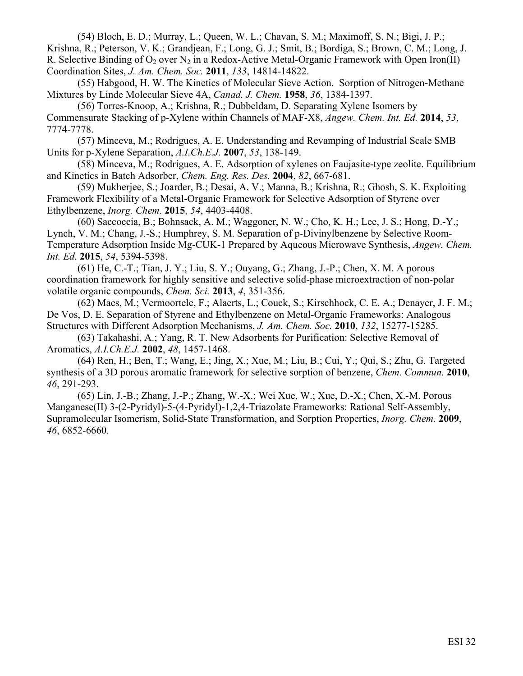(54) Bloch, E. D.; Murray, L.; Queen, W. L.; Chavan, S. M.; Maximoff, S. N.; Bigi, J. P.; Krishna, R.; Peterson, V. K.; Grandjean, F.; Long, G. J.; Smit, B.; Bordiga, S.; Brown, C. M.; Long, J. R. Selective Binding of  $O_2$  over  $N_2$  in a Redox-Active Metal-Organic Framework with Open Iron(II) Coordination Sites, *J. Am. Chem. Soc.* **2011**, *133*, 14814-14822.

 (55) Habgood, H. W. The Kinetics of Molecular Sieve Action. Sorption of Nitrogen-Methane Mixtures by Linde Molecular Sieve 4A, *Canad. J. Chem.* **1958**, *36*, 1384-1397.

 (56) Torres-Knoop, A.; Krishna, R.; Dubbeldam, D. Separating Xylene Isomers by Commensurate Stacking of p-Xylene within Channels of MAF-X8, *Angew. Chem. Int. Ed.* **2014**, *53*, 7774-7778.

 (57) Minceva, M.; Rodrigues, A. E. Understanding and Revamping of Industrial Scale SMB Units for p-Xylene Separation, *A.I.Ch.E.J.* **2007**, *53*, 138-149.

 (58) Minceva, M.; Rodrigues, A. E. Adsorption of xylenes on Faujasite-type zeolite. Equilibrium and Kinetics in Batch Adsorber, *Chem. Eng. Res. Des.* **2004**, *82*, 667-681.

 (59) Mukherjee, S.; Joarder, B.; Desai, A. V.; Manna, B.; Krishna, R.; Ghosh, S. K. Exploiting Framework Flexibility of a Metal-Organic Framework for Selective Adsorption of Styrene over Ethylbenzene, *Inorg. Chem.* **2015**, *54*, 4403-4408.

 (60) Saccoccia, B.; Bohnsack, A. M.; Waggoner, N. W.; Cho, K. H.; Lee, J. S.; Hong, D.-Y.; Lynch, V. M.; Chang, J.-S.; Humphrey, S. M. Separation of p-Divinylbenzene by Selective Room-Temperature Adsorption Inside Mg-CUK-1 Prepared by Aqueous Microwave Synthesis, *Angew. Chem. Int. Ed.* **2015**, *54*, 5394-5398.

 (61) He, C.-T.; Tian, J. Y.; Liu, S. Y.; Ouyang, G.; Zhang, J.-P.; Chen, X. M. A porous coordination framework for highly sensitive and selective solid-phase microextraction of non-polar volatile organic compounds, *Chem. Sci.* **2013**, *4*, 351-356.

 (62) Maes, M.; Vermoortele, F.; Alaerts, L.; Couck, S.; Kirschhock, C. E. A.; Denayer, J. F. M.; De Vos, D. E. Separation of Styrene and Ethylbenzene on Metal-Organic Frameworks: Analogous Structures with Different Adsorption Mechanisms, *J. Am. Chem. Soc.* **2010**, *132*, 15277-15285.

 (63) Takahashi, A.; Yang, R. T. New Adsorbents for Purification: Selective Removal of Aromatics, *A.I.Ch.E.J.* **2002**, *48*, 1457-1468.

 (64) Ren, H.; Ben, T.; Wang, E.; Jing, X.; Xue, M.; Liu, B.; Cui, Y.; Qui, S.; Zhu, G. Targeted synthesis of a 3D porous aromatic framework for selective sorption of benzene, *Chem. Commun.* **2010**, *46*, 291-293.

 (65) Lin, J.-B.; Zhang, J.-P.; Zhang, W.-X.; Wei Xue, W.; Xue, D.-X.; Chen, X.-M. Porous Manganese(II) 3-(2-Pyridyl)-5-(4-Pyridyl)-1,2,4-Triazolate Frameworks: Rational Self-Assembly, Supramolecular Isomerism, Solid-State Transformation, and Sorption Properties, *Inorg. Chem.* **2009**, *46*, 6852-6660.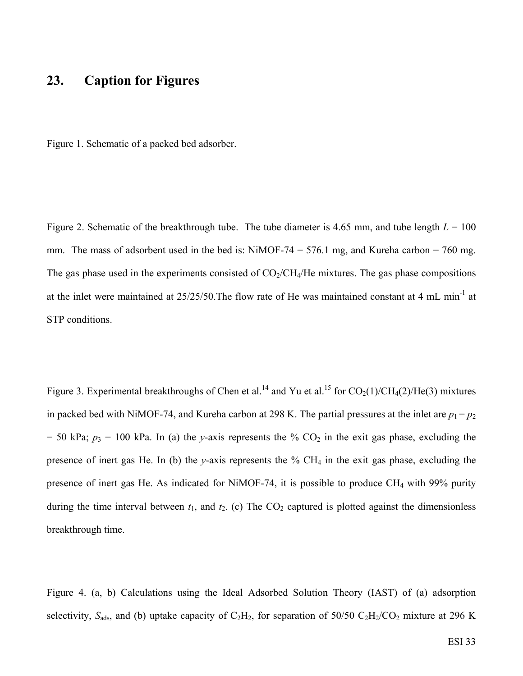#### **23. Caption for Figures**

Figure 1. Schematic of a packed bed adsorber.

Figure 2. Schematic of the breakthrough tube. The tube diameter is 4.65 mm, and tube length  $L = 100$ mm. The mass of adsorbent used in the bed is: NiMOF-74 = 576.1 mg, and Kureha carbon = 760 mg. The gas phase used in the experiments consisted of  $CO_2/CH_4/He$  mixtures. The gas phase compositions at the inlet were maintained at 25/25/50.The flow rate of He was maintained constant at 4 mL min-1 at STP conditions.

Figure 3. Experimental breakthroughs of Chen et al.<sup>14</sup> and Yu et al.<sup>15</sup> for  $CO<sub>2</sub>(1)/CH<sub>4</sub>(2)/He(3)$  mixtures in packed bed with NiMOF-74, and Kureha carbon at 298 K. The partial pressures at the inlet are  $p_1 = p_2$  $= 50$  kPa;  $p_3 = 100$  kPa. In (a) the *y*-axis represents the % CO<sub>2</sub> in the exit gas phase, excluding the presence of inert gas He. In (b) the *y*-axis represents the % CH4 in the exit gas phase, excluding the presence of inert gas He. As indicated for NiMOF-74, it is possible to produce CH<sub>4</sub> with 99% purity during the time interval between  $t_1$ , and  $t_2$ . (c) The  $CO_2$  captured is plotted against the dimensionless breakthrough time.

Figure 4. (a, b) Calculations using the Ideal Adsorbed Solution Theory (IAST) of (a) adsorption selectivity,  $S_{ads}$ , and (b) uptake capacity of  $C_2H_2$ , for separation of 50/50  $C_2H_2/CO_2$  mixture at 296 K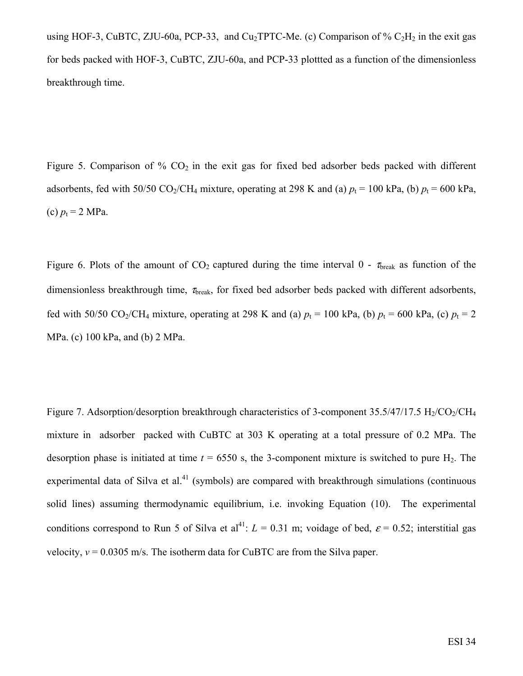using HOF-3, CuBTC, ZJU-60a, PCP-33, and Cu<sub>2</sub>TPTC-Me. (c) Comparison of %  $C_2H_2$  in the exit gas for beds packed with HOF-3, CuBTC, ZJU-60a, and PCP-33 plottted as a function of the dimensionless breakthrough time.

Figure 5. Comparison of  $\%$  CO<sub>2</sub> in the exit gas for fixed bed adsorber beds packed with different adsorbents, fed with 50/50 CO<sub>2</sub>/CH<sub>4</sub> mixture, operating at 298 K and (a)  $p_t = 100$  kPa, (b)  $p_t = 600$  kPa, (c)  $p_t = 2 \text{ MPa}$ .

Figure 6. Plots of the amount of  $CO_2$  captured during the time interval 0 -  $\tau_{break}$  as function of the dimensionless breakthrough time,  $\tau_{break}$ , for fixed bed adsorber beds packed with different adsorbents, fed with 50/50 CO<sub>2</sub>/CH<sub>4</sub> mixture, operating at 298 K and (a)  $p_t = 100$  kPa, (b)  $p_t = 600$  kPa, (c)  $p_t = 2$ MPa. (c) 100 kPa, and (b) 2 MPa.

Figure 7. Adsorption/desorption breakthrough characteristics of 3-component  $35.5/47/17.5$  H<sub>2</sub>/CO<sub>2</sub>/CH<sub>4</sub> mixture in adsorber packed with CuBTC at 303 K operating at a total pressure of 0.2 MPa. The desorption phase is initiated at time  $t = 6550$  s, the 3-component mixture is switched to pure H<sub>2</sub>. The experimental data of Silva et al.<sup>41</sup> (symbols) are compared with breakthrough simulations (continuous solid lines) assuming thermodynamic equilibrium, i.e. invoking Equation (10). The experimental conditions correspond to Run 5 of Silva et al<sup>41</sup>:  $L = 0.31$  m; voidage of bed,  $\varepsilon = 0.52$ ; interstitial gas velocity,  $v = 0.0305$  m/s. The isotherm data for CuBTC are from the Silva paper.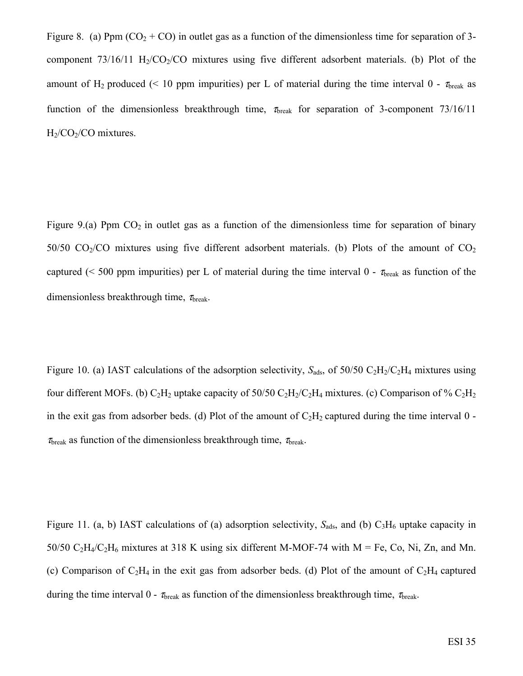Figure 8. (a) Ppm  $(CO_2 + CO)$  in outlet gas as a function of the dimensionless time for separation of 3component  $73/16/11$  H<sub>2</sub>/CO<sub>2</sub>/CO mixtures using five different adsorbent materials. (b) Plot of the amount of H<sub>2</sub> produced (< 10 ppm impurities) per L of material during the time interval 0 -  $\tau_{break}$  as function of the dimensionless breakthrough time,  $\tau_{break}$  for separation of 3-component 73/16/11  $H<sub>2</sub>/CO<sub>2</sub>/CO$  mixtures.

Figure 9.(a) Ppm  $CO<sub>2</sub>$  in outlet gas as a function of the dimensionless time for separation of binary 50/50  $CO<sub>2</sub>/CO$  mixtures using five different adsorbent materials. (b) Plots of the amount of  $CO<sub>2</sub>$ captured (< 500 ppm impurities) per L of material during the time interval 0 -  $\tau_{break}$  as function of the dimensionless breakthrough time,  $\tau_{\text{break}}$ .

Figure 10. (a) IAST calculations of the adsorption selectivity,  $S_{ads}$ , of 50/50 C<sub>2</sub>H<sub>2</sub>/C<sub>2</sub>H<sub>4</sub> mixtures using four different MOFs. (b)  $C_2H_2$  uptake capacity of 50/50  $C_2H_2/C_2H_4$  mixtures. (c) Comparison of %  $C_2H_2$ in the exit gas from adsorber beds. (d) Plot of the amount of  $C_2H_2$  captured during the time interval 0 - $\tau_{break}$  as function of the dimensionless breakthrough time,  $\tau_{break}$ .

Figure 11. (a, b) IAST calculations of (a) adsorption selectivity,  $S_{ads}$ , and (b)  $C_3H_6$  uptake capacity in 50/50  $C_2H_4/C_2H_6$  mixtures at 318 K using six different M-MOF-74 with M = Fe, Co, Ni, Zn, and Mn. (c) Comparison of  $C_2H_4$  in the exit gas from adsorber beds. (d) Plot of the amount of  $C_2H_4$  captured during the time interval 0 -  $\tau_{break}$  as function of the dimensionless breakthrough time,  $\tau_{break}$ .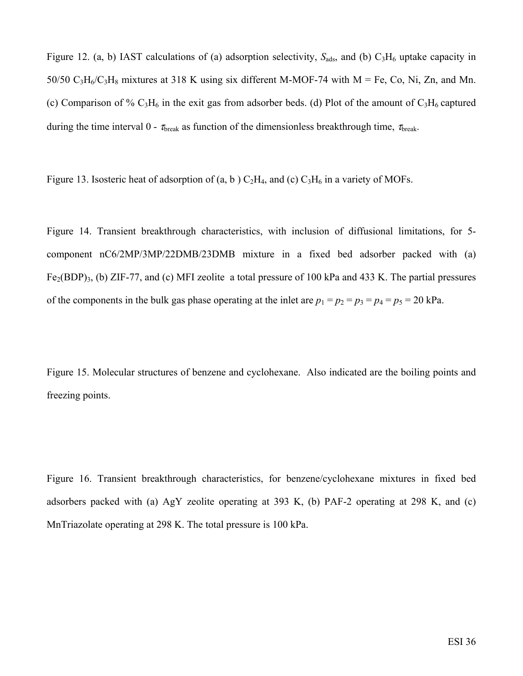Figure 12. (a, b) IAST calculations of (a) adsorption selectivity,  $S_{ads}$ , and (b)  $C_3H_6$  uptake capacity in 50/50  $C_3H_6/C_3H_8$  mixtures at 318 K using six different M-MOF-74 with M = Fe, Co, Ni, Zn, and Mn. (c) Comparison of %  $C_3H_6$  in the exit gas from adsorber beds. (d) Plot of the amount of  $C_3H_6$  captured during the time interval 0 -  $\tau_{break}$  as function of the dimensionless breakthrough time,  $\tau_{break}$ .

Figure 13. Isosteric heat of adsorption of  $(a, b)$  C<sub>2</sub>H<sub>4</sub>, and  $(c)$  C<sub>3</sub>H<sub>6</sub> in a variety of MOFs.

Figure 14. Transient breakthrough characteristics, with inclusion of diffusional limitations, for 5 component nC6/2MP/3MP/22DMB/23DMB mixture in a fixed bed adsorber packed with (a)  $Fe<sub>2</sub>(BDP)<sub>3</sub>$ , (b) ZIF-77, and (c) MFI zeolite a total pressure of 100 kPa and 433 K. The partial pressures of the components in the bulk gas phase operating at the inlet are  $p_1 = p_2 = p_3 = p_4 = p_5 = 20$  kPa.

Figure 15. Molecular structures of benzene and cyclohexane. Also indicated are the boiling points and freezing points.

Figure 16. Transient breakthrough characteristics, for benzene/cyclohexane mixtures in fixed bed adsorbers packed with (a) AgY zeolite operating at 393 K, (b) PAF-2 operating at 298 K, and (c) MnTriazolate operating at 298 K. The total pressure is 100 kPa.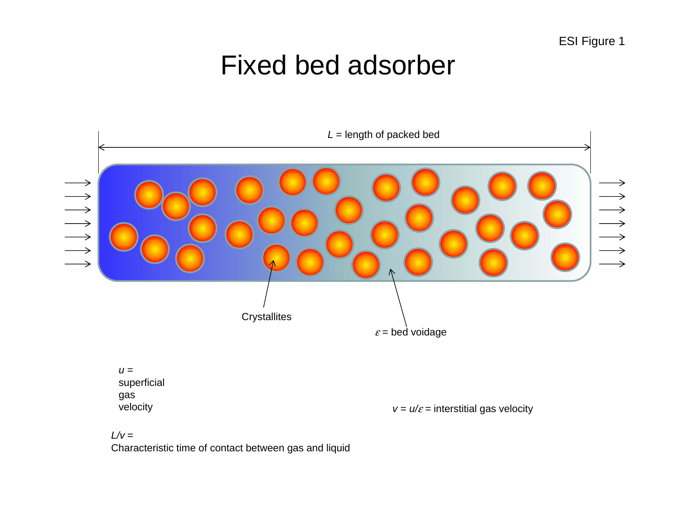## Fixed bed adsorber



*L/v* = Characteristic time of contact between gas and liquid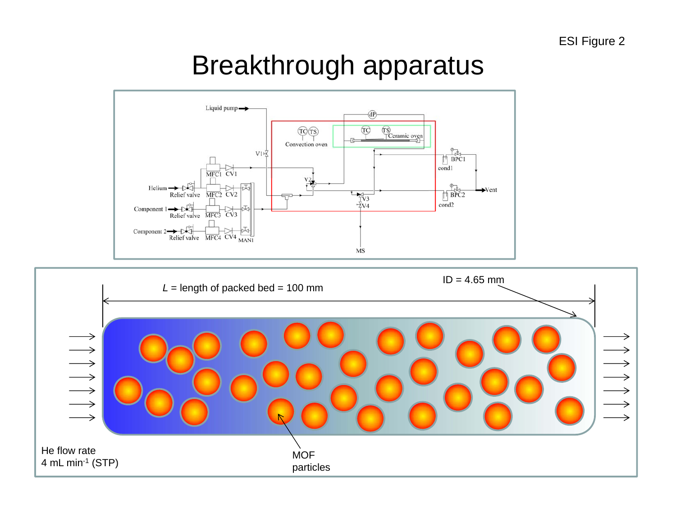## Breakthrough apparatus



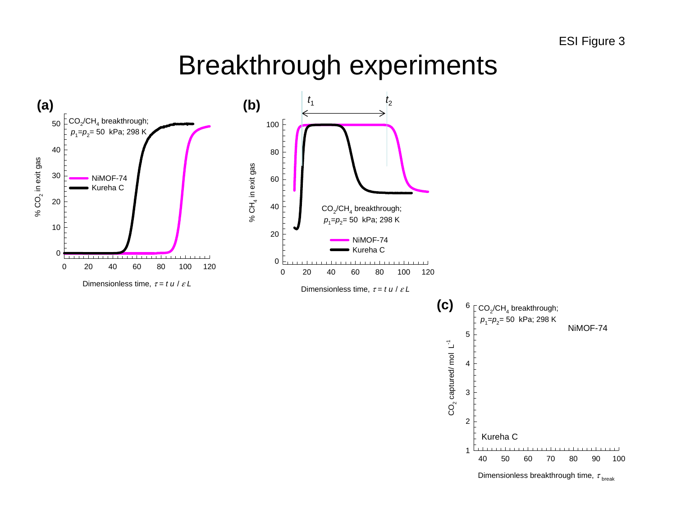## Breakthrough experiments

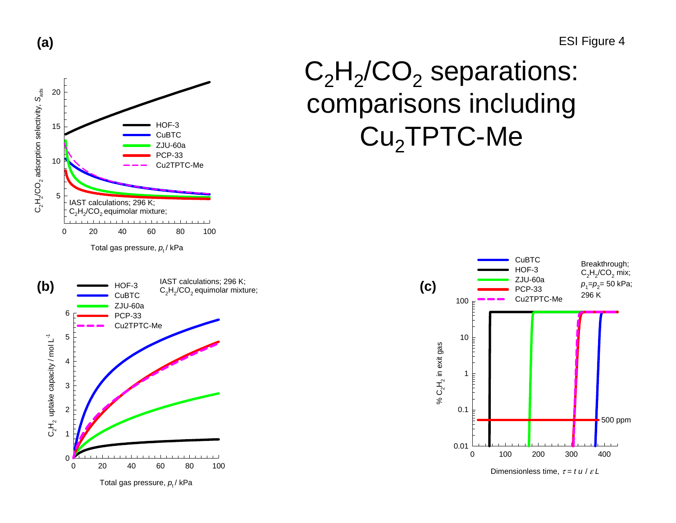ESI Figure 4

#### $C_2H_2'CO_2$  adsorption selectivity,  $S_{ads}$ C2H2/CO2 adsorption selectivity, *S*ads 20 HOF-315 **CuBTC** ZJU-60a PCP-33 10 Cu2TPTC-Me5IAST calculations; 296 K;  $C_2H_2/CO_2$  equimolar mixture; 0 20 40 60 80 100

**(a)**

Total gas pressure,  $\rho_{_{\rm t}}$ / kPa



 $\rm C_2H_2/CO_2$  separations: comparisons including  ${\rm Cu_2}$ TPTC-Me $^-$ 



Dimensionless time, τ <sup>=</sup>*t u* / <sup>ε</sup> *L*

Total gas pressure, *p*<sub>t</sub>/ kPa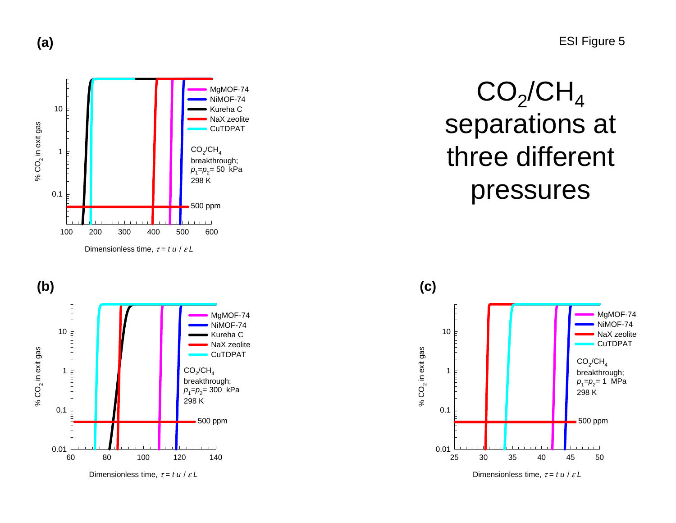





## $CO_2$ /CH<sub>4</sub> separations at three different pressures

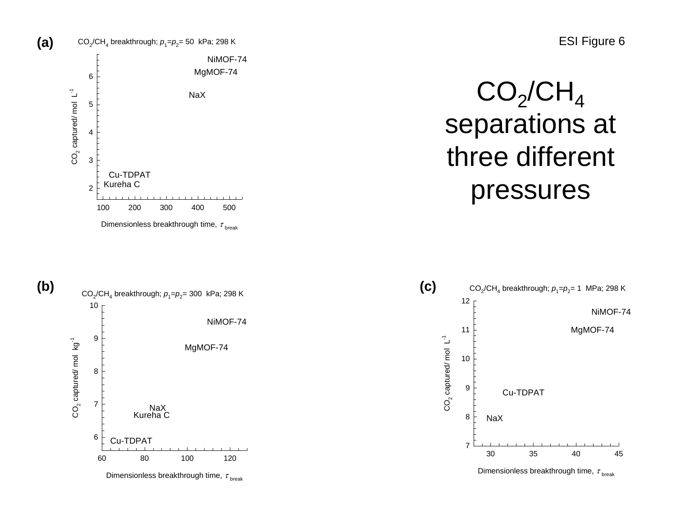

Dimensionless breakthrough time,  $\tau_{_{\text{break}}}$ 

 $\mathsf{CO_2/CH}_4$ separations at three different pressures



Dimensionless breakthrough time,  $\tau_{\textrm{\scriptsize break}}$ 

ESI Figure 6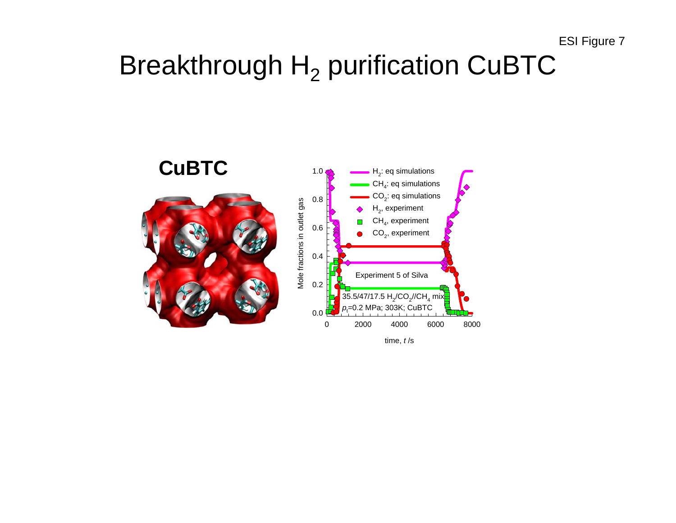## Breakthrough  ${\sf H}_2$  purification CuBTC



time, *t* /s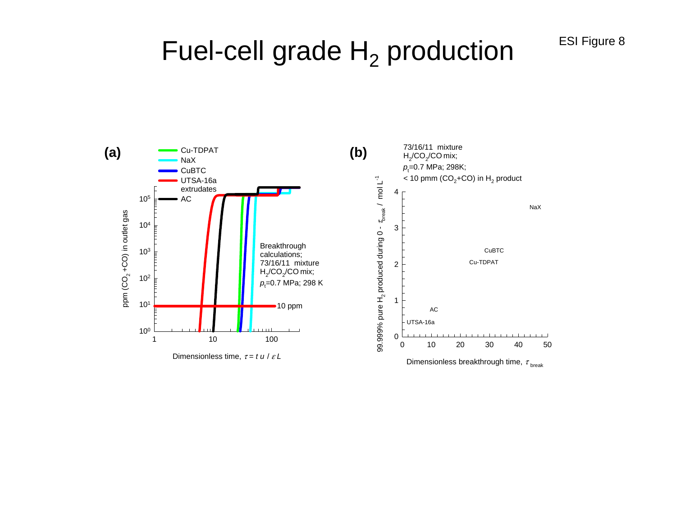ESI Figure 8

## Fuel-cell grade  ${\sf H_2}$  production

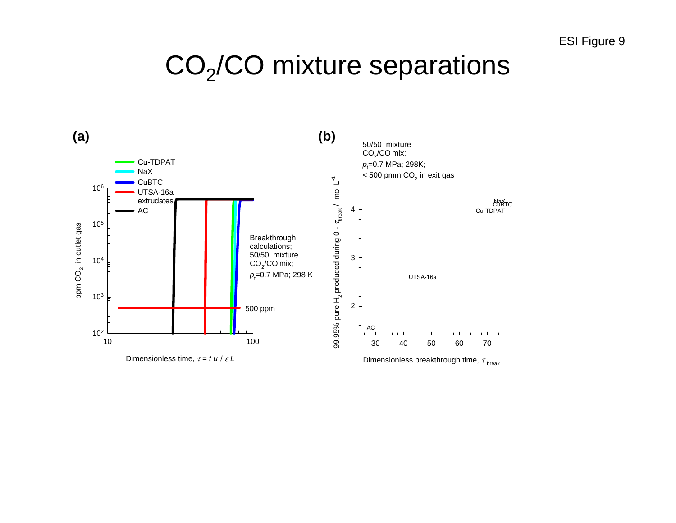## $\mathrm{CO}_2\mathrm{/CO}$  mixture separations

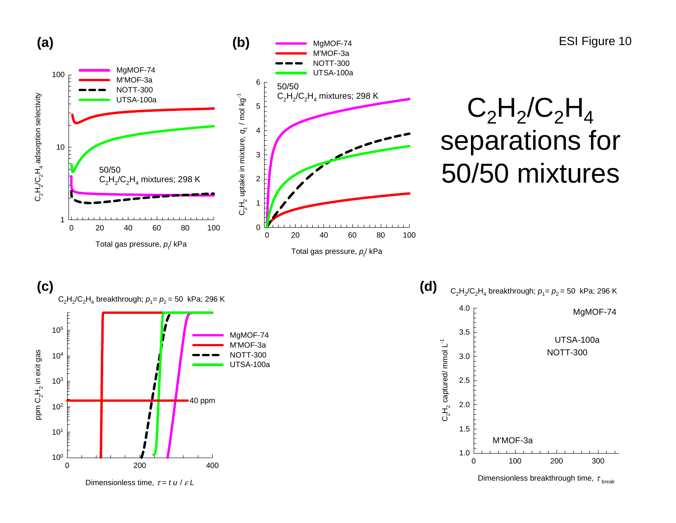![](_page_45_Figure_0.jpeg)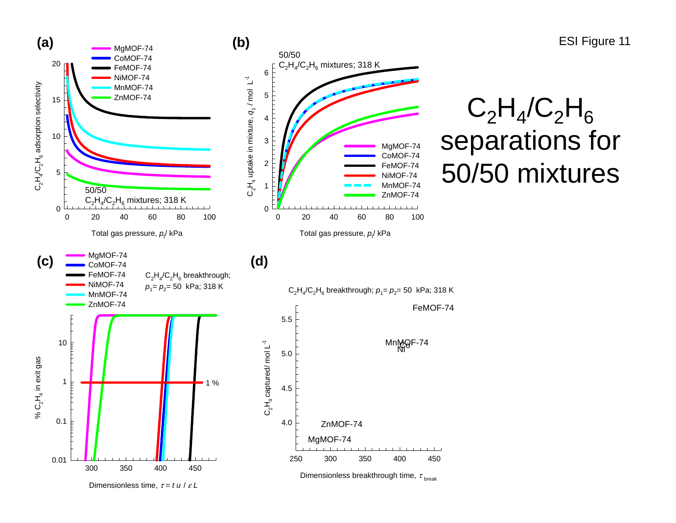ESI Figure 11

![](_page_46_Figure_1.jpeg)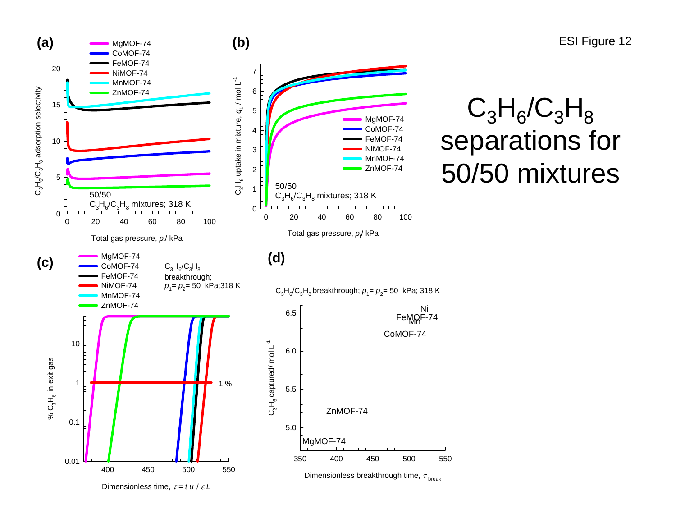![](_page_47_Figure_0.jpeg)

Dimensionless time, τ <sup>=</sup>*t u* / <sup>ε</sup> *L*

ESI Figure 12

## $\mathsf{C}_3$  $H_6/C_3$  ${\sf H}_8$ separations for 50/50 mixtures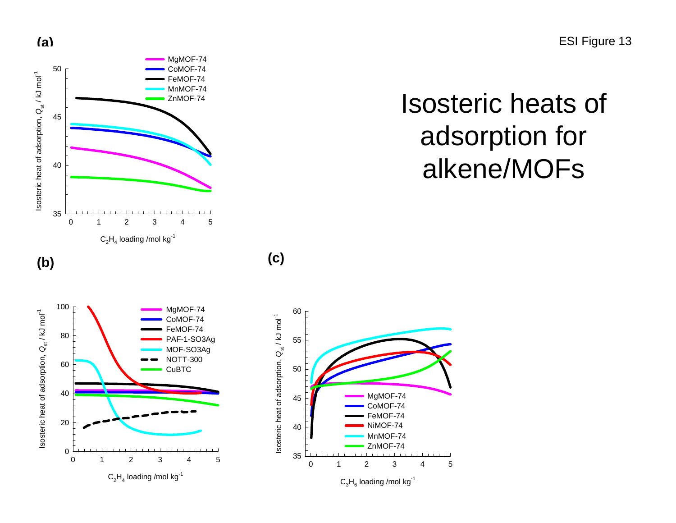ESI Figure 13

## Isosteric heats of adsorption for alkene/MOFs

![](_page_48_Figure_2.jpeg)

 $C_2H_4$  loading /mol kg<sup>-1</sup> 012345

**(c)**

5

MgMOF-74 CoMOF-74FeMOF-74 MnMOF-74 ZnMOF-74

![](_page_48_Figure_4.jpeg)

![](_page_48_Figure_5.jpeg)

Isosteric heat of adsorption,  $Q_{\rm st}$  / kJ mol<sup>-1</sup>

Isosteric heat of adsorption,  $Q_{\text{st}}$  / kJ mol<sup>-1</sup>

**(b)**

35

40

45

50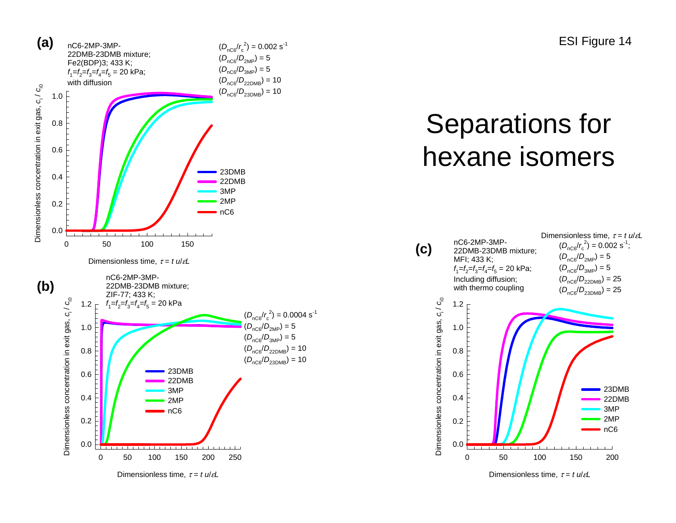ESI Figure 14

![](_page_49_Figure_1.jpeg)

Dimensionless time, τ <sup>=</sup>*t <sup>u</sup>*/ε*L*

## Separations for hexane isomers

![](_page_49_Figure_4.jpeg)

Dimensionless time, τ <sup>=</sup>*t <sup>u</sup>*/ε*L*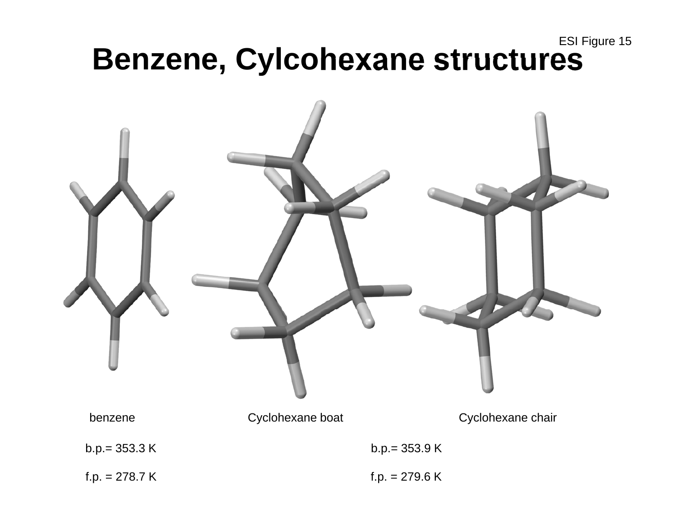# ESI Figure 15 **Benzene, Cylcohexane structures**

![](_page_50_Picture_1.jpeg)